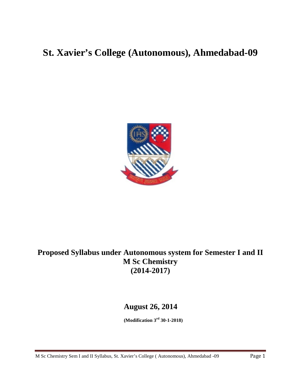# **St. Xavier's College (Autonomous), Ahmedabad-09**



# **Proposed Syllabus under Autonomous system for Semester I and II M Sc Chemistry (2014-2017)**

# **August 26, 2014**

**(Modification 3rd 30-1-2018)**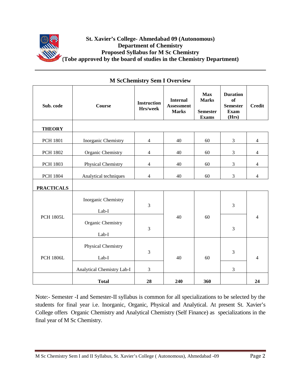

| Sub. code         | <b>Course</b>                | <b>Instruction</b><br>Hrs/week | <b>Internal</b><br><b>Assessment</b><br><b>Marks</b> | <b>Max</b><br><b>Marks</b><br><b>Semester</b><br><b>Exams</b> | <b>Duration</b><br><b>of</b><br><b>Semester</b><br><b>Exam</b><br>(Hrs) | <b>Credit</b>            |
|-------------------|------------------------------|--------------------------------|------------------------------------------------------|---------------------------------------------------------------|-------------------------------------------------------------------------|--------------------------|
| <b>THEORY</b>     |                              |                                |                                                      |                                                               |                                                                         |                          |
| <b>PCH 1801</b>   | Inorganic Chemistry          | $\overline{4}$                 | 40                                                   | 60                                                            | 3                                                                       | $\overline{4}$           |
| <b>PCH 1802</b>   | Organic Chemistry            | $\overline{4}$                 | 40                                                   | 60                                                            | 3                                                                       | $\overline{4}$           |
| <b>PCH 1803</b>   | Physical Chemistry           | $\overline{4}$                 | 40                                                   | 60                                                            | 3                                                                       | $\overline{4}$           |
| <b>PCH 1804</b>   | Analytical techniques        | $\overline{4}$                 | 40                                                   | 60                                                            | 3                                                                       | $\overline{4}$           |
| <b>PRACTICALS</b> |                              |                                |                                                      |                                                               |                                                                         |                          |
| <b>PCH 1805L</b>  | Inorganic Chemistry<br>Lab-I | $\mathfrak{Z}$                 |                                                      | 60                                                            | 3                                                                       |                          |
|                   | Organic Chemistry<br>Lab-I   | 3                              | 40                                                   |                                                               | 3                                                                       | $\overline{\mathcal{L}}$ |
| <b>PCH 1806L</b>  | Physical Chemistry<br>Lab-I  | $\mathfrak{Z}$                 | 40                                                   | 60                                                            | 3                                                                       | 4                        |
|                   | Analytical Chemistry Lab-I   | $\mathfrak{Z}$                 |                                                      |                                                               | 3                                                                       |                          |
|                   | <b>Total</b>                 | 28                             | 240                                                  | 360                                                           |                                                                         | 24                       |

# **M ScChemistry Sem I Overview**

Note:- Semester -I and Semester-II syllabus is common for all specializations to be selected by the students for final year i.e. Inorganic, Organic, Physical and Analytical. At present St. Xavier's College offers Organic Chemistry and Analytical Chemistry (Self Finance) as specializations in the final year of M Sc Chemistry.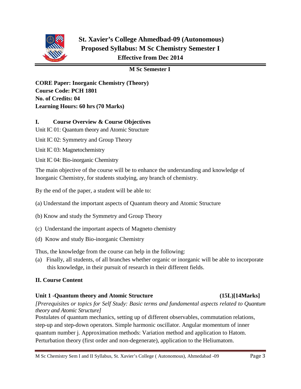

# **St. Xavier's College Ahmedbad-09 (Autonomous) Proposed Syllabus: M Sc Chemistry Semester I Effective from Dec 2014**

# **M Sc Semester I**

**CORE Paper: Inorganic Chemistry (Theory) Course Code: PCH 1801 No. of Credits: 04 Learning Hours: 60 hrs (70 Marks)**

# **I. Course Overview & Course Objectives**

Unit IC 01: Quantum theory and Atomic Structure

Unit IC 02: Symmetry and Group Theory

Unit IC 03: Magnetochemistry

Unit IC 04: Bio-inorganic Chemistry

The main objective of the course will be to enhance the understanding and knowledge of Inorganic Chemistry, for students studying, any branch of chemistry.

By the end of the paper, a student will be able to:

(a) Understand the important aspects of Quantum theory and Atomic Structure

- (b) Know and study the Symmetry and Group Theory
- (c) Understand the important aspects of Magneto chemistry
- (d) Know and study Bio-inorganic Chemistry

Thus, the knowledge from the course can help in the following:

(a) Finally, all students, of all branches whether organic or inorganic will be able to incorporate this knowledge, in their pursuit of research in their different fields.

# **II. Course Content**

# **Unit 1 -Quantum theory and Atomic Structure (15L)[14Marks]**

*[Prerequisites or topics for Self Study: Basic terms and fundamental aspects related to Quantum theory and Atomic Structure]*

Postulates of quantum mechanics, setting up of different observables, commutation relations, step-up and step-down operators. Simple harmonic oscillator. Angular momentum of inner quantum number j. Approximation methods: Variation method and application to Hatom. Perturbation theory (first order and non-degenerate), application to the Heliumatom.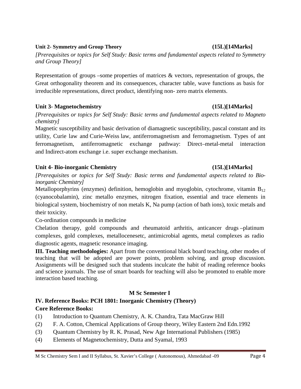#### M Sc Chemistry Sem I and II Syllabus, St. Xavier's College ( Autonomous), Ahmedabad -09 Page 4

### **Unit 2- Symmetry and Group Theory (15L)[14Marks]**

*[Prerequisites or topics for Self Study: Basic terms and fundamental aspects related to Symmetry and Group Theory]*

Representation of groups –some properties of matrices & vectors, representation of groups, the Great orthogonality theorem and its consequences, character table, wave functions as basis for irreducible representations, direct product, identifying non- zero matrix elements.

# **Unit 3- Magnetochemistry (15L)[14Marks]**

*[Prerequisites or topics for Self Study: Basic terms and fundamental aspects related to Magneto chemistry]*

Magnetic susceptibility and basic derivation of diamagnetic susceptibility, pascal constant and its utility, Curie law and Curie-Weiss law, antiferromagnetism and ferromagnetism. Types of ant ferromagnetism, antiferromagnetic exchange pathway: Direct–metal-metal interaction and Indirect-atom exchange i.e. super exchange mechanism.

# **Unit 4- Bio-inorganic Chemistry (15L)[14Marks]**

*[Prerequisites or topics for Self Study: Basic terms and fundamental aspects related to Bioinorganic Chemistry]*

Metalloporphyrins (enzymes) definition, hemoglobin and myoglobin, cytochrome, vitamin  $B_{12}$ (cyanocobalamin), zinc metallo enzymes, nitrogen fixation, essential and trace elements in biological system, biochemistry of non metals K, Na pump (action of bath ions), toxic metals and their toxicity.

Co-ordination compounds in medicine

Chelation therapy, gold compounds and rheumatoid arthritis, anticancer drugs –platinum complexes, gold complexes, metallocenesetc, antimicrobial agents, metal complexes as radio diagnostic agents, magnetic resonance imaging.

**III. Teaching methodologies:** Apart from the conventional black board teaching, other modes of teaching that will be adopted are power points, problem solving, and group discussion. Assignments will be designed such that students inculcate the habit of reading reference books and science journals. The use of smart boards for teaching will also be promoted to enable more interaction based teaching.

# **M Sc Semester I**

#### **IV. Reference Books: PCH 1801: Inorganic Chemistry (Theory) Core Reference Books:**

- (1) Introduction to Quantum Chemistry, A. K. Chandra, Tata MacGraw Hill
- (2) F. A. Cotton, Chemical Applications of Group theory, Wiley Eastern 2nd Edn.1992
- (3) Quantum Chemistry by R. K. Prasad, New Age International Publishers (1985)
- (4) Elements of Magnetochemistry, Dutta and Syamal, 1993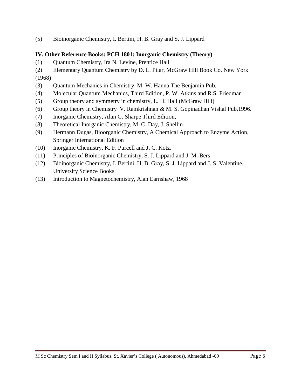(5) Bioinorganic Chemistry, I. Bertini, H. B. Gray and S. J. Lippard

# **IV. Other Reference Books: PCH 1801: Inorganic Chemistry (Theory)**

- (1) Quantum Chemistry, Ira N. Levine, Prentice Hall
- (2) Elementary Quantum Chemistry by D. L. Pilar, McGraw Hill Book Co, New York

(1968)

- (3) Quantum Mechanics in Chemistry, M. W. Hanna The Benjamin Pub.
- (4) Molecular Quantum Mechanics, Third Edition, P. W. Atkins and R.S. Friedman
- (5) Group theory and symmetry in chemistry, L. H. Hall (McGraw Hill)
- (6) Group theory in Chemistry V. Ramkrishnan & M. S. Gopinadhan Vishal Pub.1996.
- (7) Inorganic Chemistry, Alan G. Sharpe Third Edition,
- (8) Theoretical Inorganic Chemistry, M. C. Day, J. Shellin
- (9) Hermann Dugas, Bioorganic Chemistry, A Chemical Approach to Enzyme Action, Springer International Edition
- (10) Inorganic Chemistry, K. F. Purcell and J. C. Kotz.
- (11) Principles of Bioinorganic Chemistry, S. J. Lippard and J. M. Bers
- (12) Bioinorganic Chemistry, I. Bertini, H. B. Gray, S. J. Lippard and J. S. Valentine, University Science Books
- (13) Introduction to Magnetochemistry, Alan Earnshaw, 1968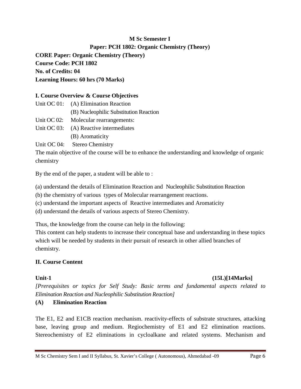# **M Sc Semester I**

# **Paper: PCH 1802: Organic Chemistry (Theory)**

**CORE Paper: Organic Chemistry (Theory) Course Code: PCH 1802 No. of Credits: 04 Learning Hours: 60 hrs (70 Marks)**

#### **I. Course Overview & Course Objectives**

- Unit OC 01: (A) Elimination Reaction
	- (B) Nucleophilic Substitution Reaction
- Unit OC 02: Molecular rearrangements:
- Unit OC 03: (A) Reactive intermediates
	- (B) Aromaticity

Unit OC 04: Stereo Chemistry

The main objective of the course will be to enhance the understanding and knowledge of organic chemistry

By the end of the paper, a student will be able to :

(a) understand the details of Elimination Reaction and Nucleophilic Substitution Reaction

(b) the chemistry of various types of Molecular rearrangement reactions.

(c) understand the important aspects of Reactive intermediates and Aromaticity

(d) understand the details of various aspects of Stereo Chemistry.

Thus, the knowledge from the course can help in the following:

This content can help students to increase their conceptual base and understanding in these topics which will be needed by students in their pursuit of research in other allied branches of chemistry.

# **II. Course Content**

# **Unit-1 (15L)[14Marks]**

*[Prerequisites or topics for Self Study: Basic terms and fundamental aspects related to Elimination Reaction and Nucleophilic Substitution Reaction]*

# **(A) Elimination Reaction**

The E1, E2 and E1CB reaction mechanism. reactivity-effects of substrate structures, attacking base, leaving group and medium. Regiochemistry of E1 and E2 elimination reactions. Stereochemistry of E2 eliminations in cycloalkane and related systems. Mechanism and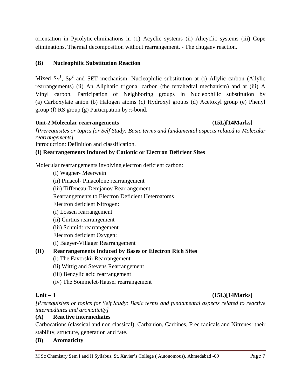orientation in Pyrolytic eliminations in (1) Acyclic systems (ii) Alicyclic systems (iii) Cope eliminations. Thermal decomposition without rearrangement. - The chugaev reaction.

# **(B) Nucleophilic Substitution Reaction**

Mixed  $S_N^1$ ,  $S_N^2$  and SET mechanism. Nucleophilic substitution at (i) Allylic carbon (Allylic rearrangements) (ii) An Aliphatic trigonal carbon (the tetrahedral mechanism) and at (iii) A Vinyl carbon. Participation of Neighboring groups in Nucleophilic substitution by (a) Carboxylate anion (b) Halogen atoms (c) Hydroxyl groups (d) Acetoxyl group (e) Phenyl group (f) RS group (g) Participation by π-bond.

# **Unit-2 Molecular rearrangements (15L)[14Marks]**

*[Prerequisites or topics for Self Study: Basic terms and fundamental aspects related to Molecular rearrangements]*

Introduction: Definition and classification.

# **(I) Rearrangements Induced by Cationic or Electron Deficient Sites**

Molecular rearrangements involving electron deficient carbon:

(i) Wagner- Meerwein (ii) Pinacol- Pinacolone rearrangement (iii) Tiffeneau-Demjanov Rearrangement Rearrangements to Electron Deficient Heteroatoms Electron deficient Nitrogen: (i) Lossen rearrangement (ii) Curtius rearrangement (iii) Schmidt rearrangement Electron deficient Oxygen: (i) Baeyer-Villager Rearrangement **(II) Rearrangements Induced by Bases or Electron Rich Sites (**i) The Favorskii Rearrangement (ii) Wittig and Stevens Rearrangement

- (iii) Benzylic acid rearrangement
- (iv) The Sommelet-Hauser rearrangement

# **Unit – 3 (15L)[14Marks]**

*[Prerequisites or topics for Self Study: Basic terms and fundamental aspects related to reactive intermediates and aromaticity]*

# **(A) Reactive intermediates**

Carbocations (classical and non classical), Carbanion, Carbines, Free radicals and Nitrenes: their stability, structure, generation and fate.

# **(B) Aromaticity**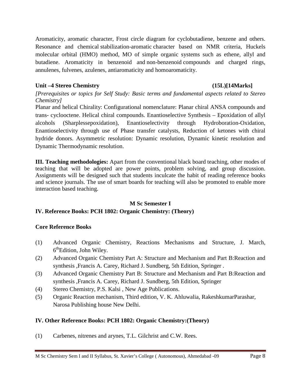Aromaticity, aromatic character, Frost circle diagram for cyclobutadiene, benzene and others. Resonance and chemical stabilization-aromatic character based on NMR criteria, Huckels molecular orbital (HMO) method, MO of simple organic systems such as ethene, allyl and butadiene. Aromaticity in benzenoid and non-benzenoid compounds and charged rings, annulenes, fulvenes, azulenes, antiaromaticity and homoaromaticity.

# **Unit –4 Stereo Chemistry (15L)[14Marks]**

*[Prerequisites or topics for Self Study: Basic terms and fundamental aspects related to Stereo Chemistry]*

Planar and helical Chirality: Configurational nomenclature: Planar chiral ANSA compounds and trans- cyclooctene. Helical chiral compounds. Enantioselective Synthesis – Epoxidation of allyl alcohols (Sharplessepoxidation), Enantioselectivity through Hydroboration-Oxidation, Enantioselectivity through use of Phase transfer catalysts, Reduction of ketones with chiral hydride donors. Asymmetric resolution: Dynamic resolution, Dynamic kinetic resolution and Dynamic Thermodynamic resolution.

**III. Teaching methodologies:** Apart from the conventional black board teaching, other modes of teaching that will be adopted are power points, problem solving, and group discussion. Assignments will be designed such that students inculcate the habit of reading reference books and science journals. The use of smart boards for teaching will also be promoted to enable more interaction based teaching.

# **M Sc Semester I**

# **IV. Reference Books: PCH 1802: Organic Chemistry: (Theory)**

# **Core Reference Books**

- (1) Advanced Organic Chemistry, Reactions Mechanisms and Structure, J. March, 6<sup>th</sup>Edition, John Wiley.
- (2) Advanced Organic Chemistry Part A: Structure and Mechanism and Part B:Reaction and synthesis ,Francis A. Carey, Richard J. Sundberg, 5th Edition, Springer .
- (3) Advanced Organic Chemistry Part B: Structure and Mechanism and Part B:Reaction and synthesis ,Francis A. Carey, Richard J. Sundberg, 5th Edition, Springer
- (4) Stereo Chemistry, P.S. Kalsi , New Age Publications.
- (5) Organic Reaction mechanism, Third edition, V. K. Ahluwalia, RakeshkumarParashar, Narosa Publishing house New Delhi.

# **IV. Other Reference Books: PCH 1802: Organic Chemistry:(Theory)**

(1) Carbenes, nitrenes and arynes, T.L. Gilchrist and C.W. Rees.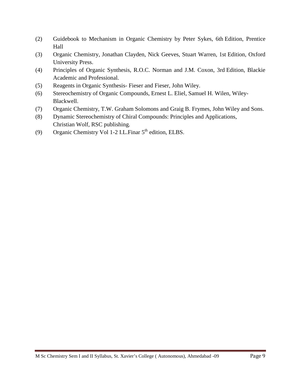- (2) Guidebook to Mechanism in Organic Chemistry by Peter Sykes, 6th Edition, Prentice Hall
- (3) Organic Chemistry, Jonathan Clayden, Nick Geeves, Stuart Warren, 1st Edition, Oxford University Press.
- (4) Principles of Organic Synthesis, R.O.C. Norman and J.M. Coxon, 3rd Edition, Blackie Academic and Professional.
- (5) Reagents in Organic Synthesis- Fieser and Fieser, John Wiley.
- (6) Stereochemistry of Organic Compounds, Ernest L. Eliel, Samuel H. Wilen, Wiley-Blackwell.
- (7) Organic Chemistry, T.W. Graham Solomons and Graig B. Frymes, John Wiley and Sons.
- (8) Dynamic Stereochemistry of Chiral Compounds: Principles and Applications, Christian Wolf, RSC publishing.
- (9) Organic Chemistry Vol 1-2 I.L.Finar  $5<sup>th</sup>$  edition, ELBS.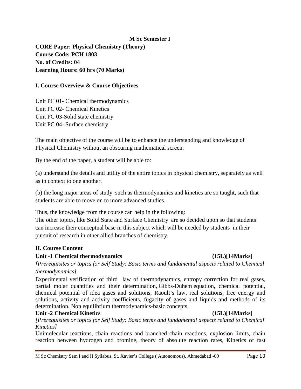#### **M Sc Semester I**

**CORE Paper: Physical Chemistry (Theory) Course Code: PCH 1803 No. of Credits: 04 Learning Hours: 60 hrs (70 Marks)**

#### **I. Course Overview & Course Objectives**

Unit PC 01- Chemical thermodynamics Unit PC 02- Chemical Kinetics Unit PC 03-Solid state chemistry Unit PC 04- Surface chemistry

The main objective of the course will be to enhance the understanding and knowledge of Physical Chemistry without an obscuring mathematical screen.

By the end of the paper, a student will be able to:

(a) understand the details and utility of the entire topics in physical chemistry, separately as well as in context to one another.

(b) the long major areas of study such as thermodynamics and kinetics are so taught, such that students are able to move on to more advanced studies.

Thus, the knowledge from the course can help in the following:

The other topics, like Solid State and Surface Chemistry are so decided upon so that students can increase their conceptual base in this subject which will be needed by students in their pursuit of research in other allied branches of chemistry.

#### **II. Course Content**

#### **Unit -1 Chemical thermodynamics (15L)[14Marks]**

*[Prerequisites or topics for Self Study: Basic terms and fundamental aspects related to Chemical thermodynamics]*

Experimental verification of third law of thermodynamics, entropy correction for real gases, partial molar quantities and their determination, Gibbs-Duhem equation, chemical potential, chemical potential of idea gases and solutions, Raoult's law, real solutions, free energy and solutions, activity and activity coefficients, fugacity of gases and liquids and methods of its determination. Non equilibrium thermodynamics-basic concepts.

#### **Unit -2 Chemical Kinetics (15L)[14Marks]**

*[Prerequisites or topics for Self Study: Basic terms and fundamental aspects related to Chemical Kinetics]*

Unimolecular reactions, chain reactions and branched chain reactions, explosion limits, chain reaction between hydrogen and bromine, theory of absolute reaction rates, Kinetics of fast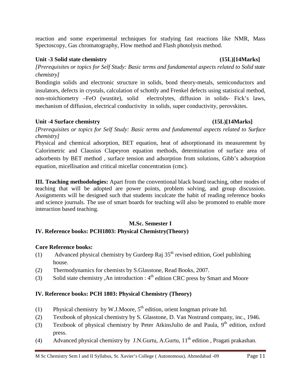reaction and some experimental techniques for studying fast reactions like NMR, Mass Spectoscopy, Gas chromatography, Flow method and Flash photolysis method.

# **Unit -3 Solid state chemistry (15L)[14Marks]**

*[Prerequisites or topics for Self Study: Basic terms and fundamental aspects related to Solid state chemistry]*

Bondingin solids and electronic structure in solids, bond theory-metals, semiconductors and insulators, defects in crystals, calculation of schottly and Frenkel defects using statistical method, non-stoichiometry –FeO (wustite), solid electrolytes, diffusion in solids- Fick's laws, mechanism of diffusion, electrical conductivity in solids, super conductivity, perovskites.

# **Unit -4 Surface chemistry (15L)[14Marks]**

*[Prerequisites or topics for Self Study: Basic terms and fundamental aspects related to Surface chemistry]*

Physical and chemical adsorption, BET equation, heat of adsorptionand its measurement by Calorimetric and Clausius Clapeyron equation methods, determination of surface area of adsorbents by BET method , surface tension and adsorption from solutions, Gibb's adsorption equation, micellisation and critical micellar concentration (cmc).

**III. Teaching methodologies:** Apart from the conventional black board teaching, other modes of teaching that will be adopted are power points, problem solving, and group discussion. Assignments will be designed such that students inculcate the habit of reading reference books and science journals. The use of smart boards for teaching will also be promoted to enable more interaction based teaching.

# **M.Sc. Semester I**

# **IV. Reference books: PCH1803: Physical Chemistry(Theory)**

# **Core Reference books:**

- (1) Advanced physical chemistry by Gurdeep Raj  $35<sup>th</sup>$  revised edition, Goel publishing house.
- (2) Thermodynamics for chemists by S.Glasstone, Read Books, 2007.
- (3) Solid state chemistry ,An introduction :  $4<sup>th</sup>$  edition CRC press by Smart and Moore

# **IV. Reference books: PCH 1803: Physical Chemistry (Theory)**

- (1) Physical chemistry by W.J.Moore,  $5<sup>th</sup>$  edition, orient longman private ltd.
- (2) Textbook of physical chemistry by S. Glasstone, D. Van Nostrand company, inc., 1946.
- (3) Textbook of physical chemistry by [Peter AtkinsJulio de and Paula,](http://www.amazon.com/s/ref=dp_byline_sr_book_1?ie=UTF8&field-author=Peter+Atkins&search-alias=books&text=Peter+Atkins&sort=relevancerank)  $9<sup>th</sup>$  edition, oxford press.
- (4) Advanced physical chemistry by J.N.Gurtu, A.Gurtu,  $11<sup>th</sup>$  edition, Pragati prakashan.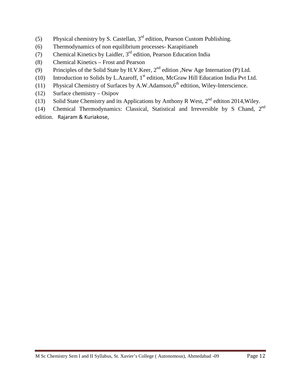- (5) Physical chemistry by S. Castellan,  $3<sup>rd</sup>$  edition, Pearson Custom Publishing.
- (6) Thermodynamics of non equilibrium processes- Karapitianeh
- (7) Chemical Kinetics by Laidler,  $3<sup>rd</sup>$  edition, Pearson Education India
- (8) Chemical Kinetics Frost and Pearson
- (9) Principles of the Solid State by H.V.Keer, 2<sup>nd</sup> edition ,New Age Internation (P) Ltd.
- (10) Introduction to Solids by L.Azaroff,  $1<sup>st</sup>$  edition, McGraw Hill Education India Pvt Ltd.
- (11) Physical Chemistry of Surfaces by A.W.Adamson, $6<sup>th</sup>$  edtition, Wiley-Interscience.
- (12) Surface chemistry Osipov
- (13) Solid State Chemistry and its Applications by Anthony R West,  $2^{nd}$  edtiton 2014, Wiley.
- (14) Chemical Thermodynamics: Classical, Statistical and Irreversible by S Chand, 2nd edition. [Rajaram & Kuriakose,](http://www.abebooks.com/servlet/SearchResults?an=Rajaram+%26+Kuriakose&cm_sp=det-_-bdp-_-author)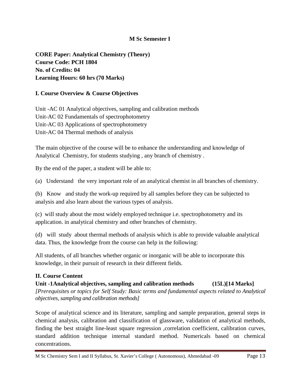# **M Sc Semester I**

**CORE Paper: Analytical Chemistry (Theory) Course Code: PCH 1804 No. of Credits: 04 Learning Hours: 60 hrs (70 Marks)**

# **I. Course Overview & Course Objectives**

Unit -AC 01 Analytical objectives, sampling and calibration methods Unit-AC 02 Fundamentals of spectrophotometry Unit-AC 03 Applications of spectrophotometry Unit-AC 04 Thermal methods of analysis

The main objective of the course will be to enhance the understanding and knowledge of Analytical Chemistry, for students studying , any branch of chemistry .

By the end of the paper, a student will be able to:

(a) Understand the very important role of an analytical chemist in all branches of chemistry.

(b) Know and study the work-up required by all samples before they can be subjected to analysis and also learn about the various types of analysis.

(c) will study about the most widely employed technique i.e. spectrophotometry and its application. in analytical chemistry and other branches of chemistry.

(d) will study about thermal methods of analysis which is able to provide valuable analytical data. Thus, the knowledge from the course can help in the following:

All students, of all branches whether organic or inorganic will be able to incorporate this knowledge, in their pursuit of research in their different fields.

# **II. Course Content**

**Unit -1Analytical objectives, sampling and calibration methods (15L)[14 Marks]** *[Prerequisites or topics for Self Study: Basic terms and fundamental aspects related to Analytical objectives, sampling and calibration methods]*

Scope of analytical science and its literature, sampling and sample preparation, general steps in chemical analysis, calibration and classification of glassware, validation of analytical methods, finding the best straight line-least square regression ,correlation coefficient, calibration curves, standard addition technique internal standard method. Numericals based on chemical concentrations.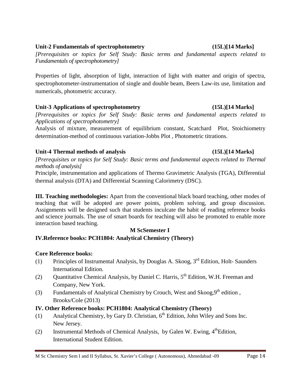#### M Sc Chemistry Sem I and II Syllabus, St. Xavier's College ( Autonomous), Ahmedabad -09 Page 14

#### **Unit-2 Fundamentals of spectrophotometry (15L)[14 Marks]**

*[Prerequisites or topics for Self Study: Basic terms and fundamental aspects related to Fundamentals of spectrophotometry]*

Properties of light, absorption of light, interaction of light with matter and origin of spectra, spectrophotometer-instrumentation of single and double beam, Beers Law-its use, limitation and numericals, photometric accuracy.

# **Unit-3 Applications of spectrophotometry (15L)[14 Marks]**

*[Prerequisites or topics for Self Study: Basic terms and fundamental aspects related to Applications of spectrophotometry]*

Analysis of mixture, measurement of equilibrium constant, Scatchard Plot, Stoichiometry determination-method of continuous variation-Jobbs Plot , Photometric titrations.

# **Unit-4 Thermal methods of analysis (15L)[14 Marks]**

*[Prerequisites or topics for Self Study: Basic terms and fundamental aspects related to Thermal methods of analysis]*

Principle, instrumentation and applications of Thermo Gravimetric Analysis (TGA), Differential thermal analysis (DTA) and Differential Scanning Calorimetry (DSC).

**III. Teaching methodologies:** Apart from the conventional black board teaching, other modes of teaching that will be adopted are power points, problem solving, and group discussion. Assignments will be designed such that students inculcate the habit of reading reference books and science journals. The use of smart boards for teaching will also be promoted to enable more interaction based teaching.

# **M ScSemester I**

# **IV.Reference books: PCH1804: Analytical Chemistry (Theory)**

# **Core Reference books:**

- (1) Principles of Instrumental Analysis, by Douglas A. Skoog,  $3<sup>rd</sup>$  Edition, Holt- Saunders International Edition.
- (2) Ouantitative Chemical Analysis, by Daniel C. Harris,  $5<sup>th</sup>$  Edition, W.H. Freeman and Company, New York.
- (3) Fundamentals of Analytical Chemistry by Crouch, West and Skoog,  $9<sup>th</sup>$  edition, Brooks/Cole (2013)

# **IV. Other Reference books: PCH1804: Analytical Chemistry (Theory)**

- (1) Analytical Chemistry, by Gary D. Christian,  $6<sup>th</sup>$  Edition, John Wiley and Sons Inc. New Jersey.
- (2) Instrumental Methods of Chemical Analysis, by Galen W. Ewing,  $4^{\text{th}}$ Edition, International Student Edition.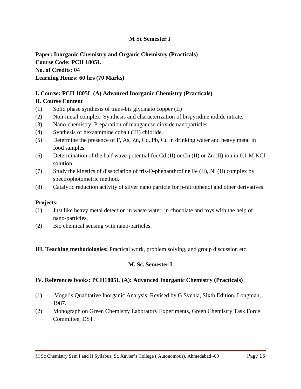# **M Sc Semester I**

**Paper: Inorganic Chemistry and Organic Chemistry (Practicals) Course Code: PCH 1805L No. of Credits: 04 Learning Hours: 60 hrs (70 Marks)**

# **I. Course: PCH 1805L (A) Advanced Inorganic Chemistry (Practicals)**

#### **II. Course Content**

- (1) Solid phase synthesis of trans-bis glycinato copper (II)
- (2) Non-metal complex: Synthesis and characterization of bispyridine iodide nitrate.
- (3) Nano-chemistry: Preparation of manganese dioxide nanoparticles.
- (4) Synthesis of hexaammine cobalt (III) chloride.
- (5) Determine the presence of F, As, Zn, Cd, Pb, Cu in drinking water and heavy metal in food samples.
- (6) Determination of the half wave-potential for Cd (II) or Cu (II) or Zn (II) ion in 0.1 M KCl solution.
- (7) Study the kinetics of dissociation of tris-O-phenanthroline Fe (II), Ni (II) complex by spectrophotometric method.
- (8) Catalytic reduction activity of silver nano particle for p-nitrophenol and other derivatives.

#### **Projects:**

- (1) Just like heavy metal detection in waste water, in chocolate and toys with the help of nano-particles.
- (2) Bio chemical sensing with nano-particles.

#### **III. Teaching methodologies:** Practical work, problem solving, and group discussion etc.

#### **M. Sc. Semester I**

#### **IV. References books: PCH1805L (A): Advanced Inorganic Chemistry (Practicals)**

- (1) Vogel's Qualitative Inorganic Analysis, Revised by G Svehla, Sixth Edition, Longman, 1987.
- (2) Monograph on Green Chemistry Laboratory Experiments, Green Chemistry Task Force Committee, DST.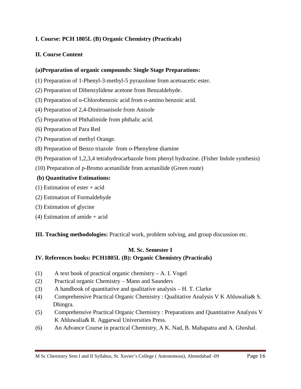# **I. Course: PCH 1805L (B) Organic Chemistry (Practicals)**

# **II. Course Content**

# **(a)Preparation of organic compounds: Single Stage Preparations:**

- (1) Preparation of 1-Phenyl-3-methyl-5 pyrazolone from acetoacetic ester.
- (2) Preparation of Dibenzylidene acetone from Benzaldehyde.
- (3) Preparation of o-Chlorobenzoic acid from o-amino benzoic acid.
- (4) Preparation of 2,4-Dinitroanisole from Anisole
- (5) Preparation of Phthalimide from phthalic acid.
- (6) Preparation of Para Red
- (7) Preparation of methyl Orange.
- (8) Preparation of Benzo triazole from o-Phenylene diamine
- (9) Preparation of 1,2,3,4 tetrahydrocarbazole from phenyl hydrazine. (Fisher Indole synthesis)
- (10) Preparation of p-Bromo acetanilide from acetanilide (Green route)

# **(b) Quantitative Estimations:**

- (1) Estimation of ester + acid
- (2) Estimation of Formaldehyde
- (3) Estimation of glycine
- (4) Estimation of amide + acid

**III. Teaching methodologies:** Practical work, problem solving, and group discussion etc.

# **M. Sc. Semester I**

# **IV. References books: PCH1805L (B): Organic Chemistry (Practicals)**

- (1) A text book of practical organic chemistry A. I. Vogel
- (2) Practical organic Chemistry Mann and Saunders
- (3) A handbook of quantitative and qualitative analysis H. T. Clarke
- (4) Comprehensive Practical Organic Chemistry : Qualitative Analysis V K Ahluwalia& S. Dhingra.
- (5) Comprehensive Practical Organic Chemistry : Preparations and Quantitative Analysis V K Ahluwalia& R. Aggarwal Universities Press.
- (6) An Advance Course in practical Chemistry, A K. Nad, B. Mahapatra and A. Ghoshal.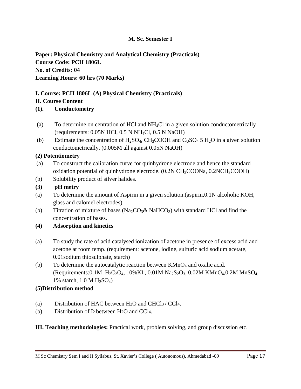# **M. Sc. Semester I**

**Paper: Physical Chemistry and Analytical Chemistry (Practicals) Course Code: PCH 1806L No. of Credits: 04 Learning Hours: 60 hrs (70 Marks)**

# **I. Course: PCH 1806L (A) Physical Chemistry (Practicals)**

# **II. Course Content**

# **(1). Conductometry**

- (a) To determine on centration of HCl and  $NH<sub>4</sub>Cl$  in a given solution conductometrically (requirements: 0.05N HCl, 0.5 N NH4Cl, 0.5 N NaOH)
- (b) Estimate the concentration of  $H_2SO_4$ ,  $CH_3COOH$  and  $C_1SO_4$  5  $H_2O$  in a given solution conductometrically. (0.005M all against 0.05N NaOH)

# **(2) Potentiometry**

- (a) To construct the calibration curve for quinhydrone electrode and hence the standard oxidation potential of quinhydrone electrode. (0.2N CH<sub>3</sub>COONa, 0.2NCH<sub>3</sub>COOH)
- (b) Solubility product of silver halides.
- **(3) pH metry**
- (a) To determine the amount of Aspirin in a given solution.(aspirin,0.1N alcoholic KOH, glass and calomel electrodes)
- (b) Titration of mixture of bases ( $\text{Na}_2\text{CO}_3\&$  NaHCO<sub>3</sub>) with standard HCl and find the concentration of bases.
- **(4) Adsorption and kinetics**
- (a) To study the rate of acid catalysed ionization of acetone in presence of excess acid and acetone at room temp. (requirement: acetone, iodine, sulfuric acid sodium acetate, 0.01sodium thiosulphate, starch)
- (b) To determine the autocatalytic reaction between  $KMnO_4$  and oxalic acid. (Requirements:0.1M  $H_2C_2O_4$ , 10%KI, 0.01M Na<sub>2</sub>S<sub>2</sub>O<sub>3</sub>, 0.02M KMnO<sub>4</sub>, 0.2M MnSO<sub>4</sub>, 1% starch,  $1.0 M H_2SO_4$ )

# **(5)Distribution method**

- (a) Distribution of HAC between H2O and CHCl3 / CCl4.
- (b) Distribution of I2 between H2O and CCl4.

**III. Teaching methodologies:** Practical work, problem solving, and group discussion etc.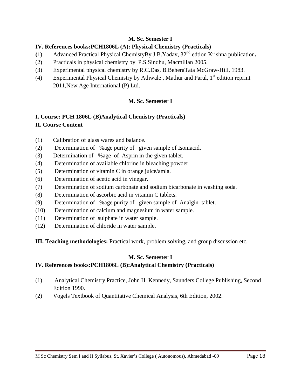# **M. Sc. Semester I**

# **IV. References books:PCH1806L (A): Physical Chemistry (Practicals)**

- **(**1) Advanced Practical Physical ChemistyBy J.B.Yadav, 32nd edtion Krishna publication**.**
- (2) Practicals in physical chemistry by P.S.Sindhu, Macmillan 2005.
- (3) Experimental physical chemistry by R.C.Das, B.BeheraTata McGraw-Hill, 1983.
- (4) Experimental Physical Chemistry by Athwale, Mathur and Parul,  $1<sup>st</sup>$  edition reprint 2011,New Age International (P) Ltd.

# **M. Sc. Semester I**

# **I. Course: PCH 1806L (B)Analytical Chemistry (Practicals)**

# **II. Course Content**

- (1) Calibration of glass wares and balance.
- (2) Determination of %age purity of given sample of Isoniacid.
- (3) Determination of %age of Asprin in the given tablet.
- (4) Determination of available chlorine in bleaching powder.
- (5) Determination of vitamin C in orange juice/amla.
- (6) Determination of acetic acid in vinegar.
- (7) Determination of sodium carbonate and sodium bicarbonate in washing soda.
- (8) Determination of ascorbic acid in vitamin C tablets.
- (9) Determination of %age purity of given sample of Analgin tablet.
- (10) Determination of calcium and magnesium in water sample.
- (11) Determination of sulphate in water sample.
- (12) Determination of chloride in water sample.
- **III. Teaching methodologies:** Practical work, problem solving, and group discussion etc.

# **M. Sc. Semester I**

# **IV. References books:PCH1806L (B):Analytical Chemistry (Practicals)**

- (1) Analytical Chemistry Practice, John H. Kennedy, Saunders College Publishing, Second Edition 1990.
- (2) Vogels Textbook of Quantitative Chemical Analysis, 6th Edition, 2002.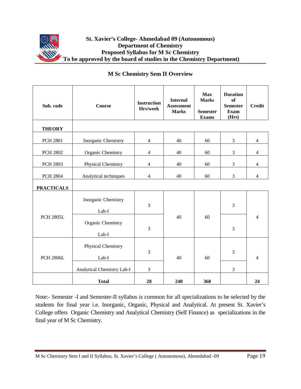

| Sub. code         | Course                       | <b>Instruction</b><br>Hrs/week | <b>Internal</b><br><b>Assessment</b><br><b>Marks</b> | <b>Max</b><br><b>Marks</b><br><b>Semester</b><br><b>Exams</b> | <b>Duration</b><br>of<br><b>Semester</b><br><b>Exam</b><br>(Hrs) | <b>Credit</b>  |
|-------------------|------------------------------|--------------------------------|------------------------------------------------------|---------------------------------------------------------------|------------------------------------------------------------------|----------------|
| <b>THEORY</b>     |                              |                                |                                                      |                                                               |                                                                  |                |
| <b>PCH 2801</b>   | Inorganic Chemistry          | $\overline{4}$                 | 40                                                   | 60                                                            | 3                                                                | $\overline{4}$ |
| <b>PCH 2802</b>   | Organic Chemistry            | $\overline{4}$                 | 40                                                   | 60                                                            | 3                                                                | $\overline{4}$ |
| <b>PCH 2803</b>   | Physical Chemistry           | $\overline{4}$                 | 40                                                   | 60                                                            | 3                                                                | $\overline{4}$ |
| <b>PCH 2804</b>   | Analytical techniques        | $\overline{4}$                 | 40                                                   | 60                                                            | 3                                                                | $\overline{4}$ |
| <b>PRACTICALS</b> |                              |                                |                                                      |                                                               |                                                                  |                |
| <b>PCH 2805L</b>  | Inorganic Chemistry<br>Lab-I | $\overline{3}$                 |                                                      | 60                                                            | 3                                                                |                |
|                   | Organic Chemistry<br>Lab-I   | 3                              | 40                                                   |                                                               | 3                                                                | 4              |
| <b>PCH 2806L</b>  | Physical Chemistry<br>Lab-I  | $\mathfrak{Z}$                 | 40                                                   | 60                                                            | 3                                                                | $\overline{4}$ |
|                   | Analytical Chemistry Lab-I   | 3                              |                                                      |                                                               | 3                                                                |                |
|                   | <b>Total</b>                 | 28                             | 240                                                  | 360                                                           |                                                                  | 24             |

# **M Sc Chemistry Sem II Overview**

Note:- Semester -I and Semester-II syllabus is common for all specializations to be selected by the students for final year i.e. Inorganic, Organic, Physical and Analytical. At present St. Xavier's College offers Organic Chemistry and Analytical Chemistry (Self Finance) as specializations in the final year of M Sc Chemistry.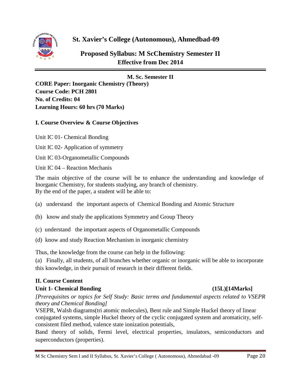

**St. Xavier's College (Autonomous), Ahmedbad-09** 

**Proposed Syllabus: M ScChemistry Semester II Effective from Dec 2014**

# **M. Sc. Semester II**

**CORE Paper: Inorganic Chemistry (Theory) Course Code: PCH 2801 No. of Credits: 04 Learning Hours: 60 hrs (70 Marks)**

# **I. Course Overview & Course Objectives**

Unit IC 01- Chemical Bonding

Unit IC 02- Application of symmetry

Unit IC 03-Organometallic Compounds

Unit IC 04 – Reaction Mechanis

The main objective of the course will be to enhance the understanding and knowledge of Inorganic Chemistry, for students studying, any branch of chemistry. By the end of the paper, a student will be able to:

- (a) understand the important aspects of Chemical Bonding and Atomic Structure
- (b) know and study the applications Symmetry and Group Theory
- (c) understand the important aspects of Organometallic Compounds
- (d) know and study Reaction Mechanism in inorganic chemistry

Thus, the knowledge from the course can help in the following:

(a) Finally, all students, of all branches whether organic or inorganic will be able to incorporate this knowledge, in their pursuit of research in their different fields.

# **II. Course Content**

# **Unit 1- Chemical Bonding (15L)[14Marks]**

*[Prerequisites or topics for Self Study: Basic terms and fundamental aspects related to VSEPR theory and Chemical Bonding]*

VSEPR, Walsh diagrams(tri atomic molecules), Bent rule and Simple Huckel theory of linear conjugated systems, simple Huckel theory of the cyclic conjugated system and aromaticity, selfconsistent filed method, valence state ionization potentials,

Band theory of solids, Fermi level, electrical properties, insulators, semiconductors and superconductors (properties).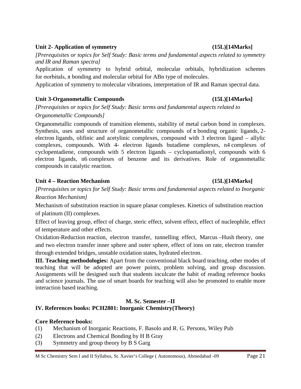#### M Sc Chemistry Sem I and II Syllabus, St. Xavier's College ( Autonomous), Ahmedabad -09 Page 21

#### **Unit 2- Application of symmetry (15L)[14Marks]**

*[Prerequisites or topics for Self Study: Basic terms and fundamental aspects related to symmetry and IR and Raman spectra]*

Application of symmetry to hybrid orbital, molecular orbitals, hybridization schemes for σorbitals,  $\pi$  bonding and molecular orbital for ABn type of molecules.

Application of symmetry to molecular vibrations, interpretation of IR and Raman spectral data.

# **Unit 3-Organometallic Compounds (15L)[14Marks]**

*[Prerequisites or topics for Self Study: Basic terms and fundamental aspects related to Organometallic Compounds]*

Organometallic compounds of transition elements, stability of metal carbon bond in complexes. Synthesis, uses and structure of organometallic compounds of  $\pi$  bonding organic ligands, 2electron ligands, olifinic and acetylinic complexes, compound with 3 electron ligand – allylic complexes, compounds. With 4- electron ligands butadiene complexes, n4 complexes of cyclopentadiene, compounds with 5 electron ligands – cyclopantadionyl, compounds with 6 electron ligands, n6 complexes of benzene and its derivatives. Role of organometallic compounds in catalytic reaction.

# **Unit 4 – Reaction Mechanism (15L)[14Marks]**

*[Prerequisites or topics for Self Study: Basic terms and fundamental aspects related to Inorganic Reaction Mechanism]*

Mechanism of substitution reaction in square planar complexes. Kinetics of substitution reaction of platinum (II) complexes.

Effect of leaving group, effect of charge, steric effect, solvent effect, effect of nucleophile, effect of temperature and other effects.

Oxidation-Reduction reaction, electron transfer, tunnelling effect, Marcus –Hush theory, one and two electron transfer inner sphere and outer sphere, effect of ions on rate, electron transfer through extended bridges, unstable oxidation states, hydrated electron.

**III. Teaching methodologies:** Apart from the conventional black board teaching, other modes of teaching that will be adopted are power points, problem solving, and group discussion. Assignments will be designed such that students inculcate the habit of reading reference books and science journals. The use of smart boards for teaching will also be promoted to enable more interaction based teaching.

# **M. Sc. Semester –II**

# **IV. References books: PCH2801: Inorganic Chemistry(Theory)**

# **Core Reference books:**

- (1) Mechanism of Inorganic Reactions, F. Basolo and R. G. Persons, Wiley Pub
- (2) Electrons and Chemical Bonding by H B Gray
- (3) Symmetry and group theory by B S Garg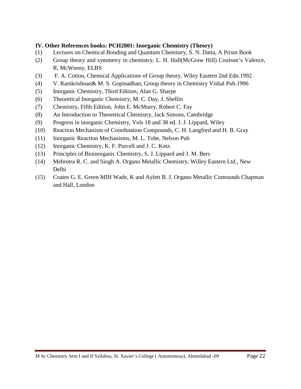# **IV. Other References books: PCH2801: Inorganic Chemistry (Theory)**

- (1) Lectures on Chemical Bonding and Quantum Chemistry, S. N. Datta, A Prism Book
- (2) Group theory and symmetry in chemistry, L. H. Hall(McGraw Hill) Coulson's Valence, R. McWeeny, ELBS
- (3) F. A. Cotton, Chemical Applications of Group theory, Wiley Eastern 2nd Edn.1992
- (4) V. Ramkrishnan& M. S. Gopinadhan, Group theory in Chemistry Vishal Pub.1996
- (5) Inorganic Chemistry, Third Edition, Alan G. Sharpe
- (6) Theoretical Inorganic Chemistry, M. C. Day, J. Shellin
- (7) Chemistry, Fifth Edition, John E. McMurry, Robert C. Fay
- (8) An Introduction to Theoretical Chemistry, Jack Simons, Cambridge
- (9) Progress in inorganic Chemistry, Vols 18 and 38 ed. J. J. Lippard, Wiley
- (10) Reaction Mechanism of Coordination Compounds, C. H. Langford and H. B. Gray
- (11) Inorganic Reaction Mechanisms, M. L. Tobe, Nelson Pub
- (12) Inorganic Chemistry, K. F. Purcell and J. C. Kotz.
- (13) Principles of Bioinorganic Chemistry, S. J. Lippard and J. M. Bers
- (14) Mehrotra R. C. and Singh A. Organo Metallic Chemistry, Willey Eastern Ltd., New Delhi
- (15) Coates G. E. Green MIH Wade, K and Aylett B. J. Organo Metallic Comounds Chapman and Hall, London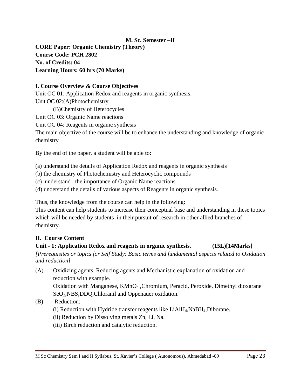# **M. Sc. Semester –II**

**CORE Paper: Organic Chemistry (Theory) Course Code: PCH 2802 No. of Credits: 04 Learning Hours: 60 hrs (70 Marks)**

#### **I. Course Overview & Course Objectives**

Unit OC 01: Application Redox and reagents in organic synthesis. Unit OC 02:(A)Photochemistry

(B)Chemistry of Heterocycles

Unit OC 03: Organic Name reactions

Unit OC 04: Reagents in organic synthesis

The main objective of the course will be to enhance the understanding and knowledge of organic chemistry

By the end of the paper, a student will be able to:

(a) understand the details of Application Redox and reagents in organic synthesis

- (b) the chemistry of Photochemistry and Heterocyclic compounds
- (c) understand the importance of Organic Name reactions
- (d) understand the details of various aspects of Reagents in organic synthesis.

Thus, the knowledge from the course can help in the following:

This content can help students to increase their conceptual base and understanding in these topics which will be needed by students in their pursuit of research in other allied branches of chemistry.

# **II. Course Content**

# **Unit - 1: Application Redox and reagents in organic synthesis. (15L)[14Marks]**

*[Prerequisites or topics for Self Study: Basic terms and fundamental aspects related to Oxidation and reduction]*

(A) Oxidizing agents, Reducing agents and Mechanistic explanation of oxidation and reduction with example.

Oxidation with Manganese, KMnO4 ,Chromium, Peracid, Peroxide, Dimethyl dioxarane SeO<sub>2</sub>, NBS, DDQ, Chloranil and Oppenauer oxidation.

(B) Reduction:

- (i) Reduction with Hydride transfer reagents like  $LiAlH<sub>4</sub>,NaBH<sub>4</sub>,Diborane.$
- (ii) Reduction by Dissolving metals Zn, Li, Na.
- (iii) Birch reduction and catalytic reduction.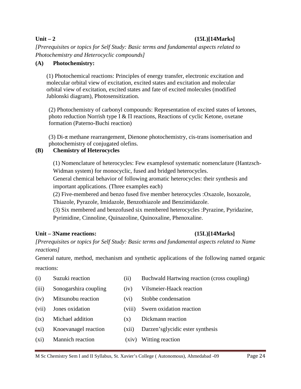### **Unit – 2 (15L)[14Marks]**

*[Prerequisites or topics for Self Study: Basic terms and fundamental aspects related to Photochemistry and Heterocyclic compounds]*

### **(A) Photochemistry:**

(1) Photochemical reactions: Principles of energy transfer, electronic excitation and molecular orbital view of excitation, excited states and excitation and molecular orbital view of excitation, excited states and fate of excited molecules (modified Jablonski diagram), Photosensitization.

(2) Photochemistry of carbonyl compounds: Representation of excited states of ketones, photo reduction Norrish type Ι & Π reactions, Reactions of cyclic Ketone, oxetane formation (Paterno-Buchi reaction)

(3) Di-π methane rearrangement, Dienone photochemistry, cis-trans isomerisation and photochemistry of conjugated olefins.

# **(B) Chemistry of Heterocycles**

(1) Nomenclature of heterocycles: Few examplesof systematic nomenclature (Hantzsch-Widman system) for monocyclic, fused and bridged heterocycles.

General chemical behavior of following aromatic heterocycles: their synthesis and important applications. (Three examples each)

(2) Five-membered and benzo fused five member heterocycles :Oxazole, Isoxazole, Thiazole, Pyrazole, Imidazole, Benzothiazole and Benzimidazole.

(3) Six membered and benzofused six membered heterocycles :Pyrazine, Pyridazine, Pyrimidine, Cinnoline, Quinazoline, Quinoxaline, Phenoxaline.

# **Unit – 3Name reactions: (15L)[14Marks]**

*[Prerequisites or topics for Self Study: Basic terms and fundamental aspects related to Name reactions]*

General nature, method, mechanism and synthetic applications of the following named organic reactions:

- (i) Suzuki reaction (ii) Buchwald Hartwing reaction (cross coupling)
	-
- (iii) Sonogarshira coupling (iv) Vilsmeier-Haack reaction
- (iv) Mitsunobu reaction (vi) Stobbe condensation
- (vii) Jones oxidation (viii) Swern oxidation reaction
- (ix) Michael addition (x) Dickmann reaction
- (xi) Knoevanagel reaction (xii) Darzen'sglycidic ester synthesis
- (xi) Mannich reaction (xiv) Witting reaction
-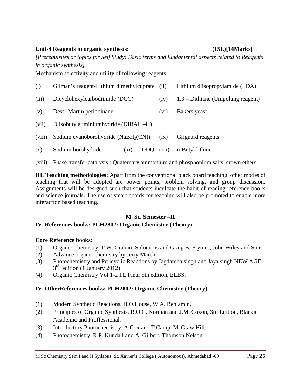#### M Sc Chemistry Sem I and II Syllabus, St. Xavier's College ( Autonomous), Ahmedabad -09 Page 25

#### **Unit-4 Reagents in organic synthesis: (15L)[14Marks]**

*[Prerequisites or topics for Self Study: Basic terms and fundamental aspects related to Reagents in organic synthesis]*

Mechanism selectivity and utility of following reagents:

| (i)    | Gilman's reagent-Lithium dimethylcuprate         | (iii)             | Lithium diisopropylamide (LDA)      |  |  |
|--------|--------------------------------------------------|-------------------|-------------------------------------|--|--|
| (iii)  | Dicyclohexylcarbodiimide (DCC)                   | (iv)              | $1,3$ – Dithiane (Umpolung reagent) |  |  |
| (v)    | Dess-Martin periodinane                          | (v <sub>i</sub> ) | Bakers yeast                        |  |  |
| (vii)  | Diisobutylauminiumhydride (DIBAL-H)              |                   |                                     |  |  |
| (viii) | Sodium cyanoborohydride (NaBH <sub>3</sub> (CN)) | (ix)              | Grignard reagents                   |  |  |
| (x)    | Sodium borohydride<br>DDO.<br>(X1)               | (xii)             | n-Butyl lithium                     |  |  |

(xiii) Phase transfer catalysis : Quaternary ammonium and phosphonium salts, crown ethers.

**III. Teaching methodologies:** Apart from the conventional black board teaching, other modes of teaching that will be adopted are power points, problem solving, and group discussion. Assignments will be designed such that students inculcate the habit of reading reference books and science journals. The use of smart boards for teaching will also be promoted to enable more interaction based teaching.

# **M. Sc. Semester –II**

# **IV. References books: PCH2802: Organic Chemistry (Theory)**

# **Core Reference books:**

- (1) Organic Chemistry, T.W. Graham Solomons and Graig B. Frymes, John Wiley and Sons
- (2) Advance organic chemistry by Jerry March
- (3) Photochemistry and Pericyclic Reactions by Jagdamba singh and Jaya singh NEW AGE;  $3<sup>rd</sup>$  edition (1 January 2012)
- (4) Organic Chemistry Vol 1-2 I.L.Finar 5th edition, ELBS.

# **IV. OtherReferences books: PCH2802: Organic Chemistry (Theory)**

- (1) Modern Synthetic Reactions, H.O.House, W.A. Benjamin.
- (2) Principles of Organic Synthesis, R.O.C. Norman and J.M. Coxon, 3rd Edition, Blackie Academic and Proffessional.
- (3) Introductory Photochemistry, A.Cox and T.Camp, McGraw Hill.
- (4) Photochemistry, R.P. Kundall and A. Gilbert, Thomson Nelson.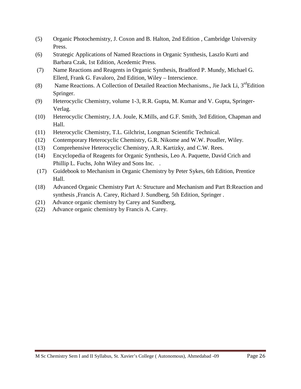- (5) Organic Photochemistry, J. Coxon and B. Halton, 2nd Edition , Cambridge University Press.
- (6) Strategic Applications of Named Reactions in Organic Synthesis, Laszlo Kurti and Barbara Czak, 1st Edition, Acedemic Press.
- (7) Name Reactions and Reagents in Organic Synthesis, Bradford P. Mundy, Michael G. Ellerd, Frank G. Favaloro, 2nd Edition, Wiley – Interscience.
- (8) Name Reactions. A Collection of Detailed Reaction Mechanisms., Jie Jack Li,  $3^{rd}$ Edition Springer.
- (9) Heterocyclic Chemistry, volume 1-3, R.R. Gupta, M. Kumar and V. Gupta, Springer-Verlag.
- (10) Heterocyclic Chemistry, J.A. Joule, K.Mills, and G.F. Smith, 3rd Edition, Chapman and Hall.
- (11) Heterocyclic Chemistry, T.L. Gilchrist, Longman Scientific Technical.
- (12) Contemporary Heterocyclic Chemistry, G.R. Nikome and W.W. Poudler, Wiley.
- (13) Comprehensive Heterocyclic Chemistry, A.R. Kartizky, and C.W. Rees.
- (14) Encyclopedia of Reagents for Organic Synthesis, Leo A. Paquette, David Crich and Phillip L. Fuchs, John Wiley and Sons Inc. .
- (17) Guidebook to Mechanism in Organic Chemistry by Peter Sykes, 6th Edition, Prentice Hall.
- (18) Advanced Organic Chemistry Part A: Structure and Mechanism and Part B:Reaction and synthesis ,Francis A. Carey, Richard J. Sundberg, 5th Edition, Springer .
- (21) Advance organic chemistry by Carey and Sundberg,
- (22) Advance organic chemistry by Francis A. Carey.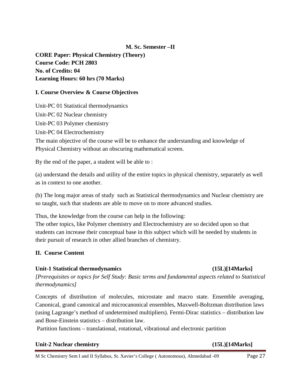# **M. Sc. Semester –II**

**CORE Paper: Physical Chemistry (Theory) Course Code: PCH 2803 No. of Credits: 04 Learning Hours: 60 hrs (70 Marks)**

### **I. Course Overview & Course Objectives**

Unit-PC 01 Statistical thermodynamics Unit-PC 02 Nuclear chemistry Unit-PC 03 Polymer chemistry Unit-PC 04 Electrochemistry

The main objective of the course will be to enhance the understanding and knowledge of Physical Chemistry without an obscuring mathematical screen.

By the end of the paper, a student will be able to :

(a) understand the details and utility of the entire topics in physical chemistry, separately as well as in context to one another.

(b) The long major areas of study such as Statistical thermodynamics and Nuclear chemistry are so taught, such that students are able to move on to more advanced studies.

Thus, the knowledge from the course can help in the following:

The other topics, like Polymer chemistry and Electrochemistry are so decided upon so that students can increase their conceptual base in this subject which will be needed by students in their pursuit of research in other allied branches of chemistry.

# **II. Course Content**

#### **Unit-1 Statistical thermodynamics (15L)[14Marks]**

*[Prerequisites or topics for Self Study: Basic terms and fundamental aspects related to Statistical thermodynamics]*

Concepts of distribution of molecules, microstate and macro state. Ensemble averaging, Canonical, grand canonical and microcanonical ensembles, Maxwell-Boltzman distribution laws (using Lagrange's method of undetermined multipliers). Fermi-Dirac statistics – distribution law and Bose-Einstein statistics – distribution law.

Partition functions – translational, rotational, vibrational and electronic partition

#### **Unit-2 Nuclear chemistry (15L)[14Marks]**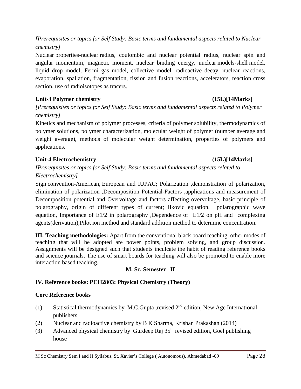*[Prerequisites or topics for Self Study: Basic terms and fundamental aspects related to Nuclear chemistry]*

Nuclear properties-nuclear radius, coulombic and nuclear potential radius, nuclear spin and angular momentum, magnetic moment, nuclear binding energy, nuclear models-shell model, liquid drop model, Fermi gas model, collective model, radioactive decay, nuclear reactions, evaporation, spallation, fragmentation, fission and fusion reactions, accelerators, reaction cross section, use of radioisotopes as tracers.

# Unit-3 Polymer chemistry (15L)[14Marks]

*[Prerequisites or topics for Self Study: Basic terms and fundamental aspects related to Polymer chemistry]*

Kinetics and mechanism of polymer processes, criteria of polymer solubility, thermodynamics of polymer solutions, polymer characterization, molecular weight of polymer (number average and weight average), methods of molecular weight determination, properties of polymers and applications.

# **Unit-4 Electrochemistry (15L)[14Marks]**

# *[Prerequisites or topics for Self Study: Basic terms and fundamental aspects related to Electrochemistry]*

Sign convention-American, European and IUPAC; Polarization ,demonstration of polarization, elimination of polarization ,Decomposition Potential-Factors ,applications and measurement of Decomposition potential and Overvoltage and factors affecting overvoltage, basic principle of polarography, origin of different types of current; Ilkovic equation. polarographic wave equation, Importance of E1/2 in polarography ,Dependence of E1/2 on pH and complexing agents(derivation),Pilot ion method and standard addition method to determine concentration.

**III. Teaching methodologies:** Apart from the conventional black board teaching, other modes of teaching that will be adopted are power points, problem solving, and group discussion. Assignments will be designed such that students inculcate the habit of reading reference books and science journals. The use of smart boards for teaching will also be promoted to enable more interaction based teaching.

# **M. Sc. Semester –II**

# **IV. Reference books: PCH2803: Physical Chemistry (Theory)**

# **Core Reference books**

- (1) Statistical thermodynamics by M.C.Gupta ,revised  $2<sup>nd</sup>$  edition, New Age International publishers
- (2) Nuclear and radioactive chemistry by B K Sharma, Krishan Prakashan (2014)
- (3) Advanced physical chemistry by Gurdeep Raj  $35<sup>th</sup>$  revised edition, Goel publishing house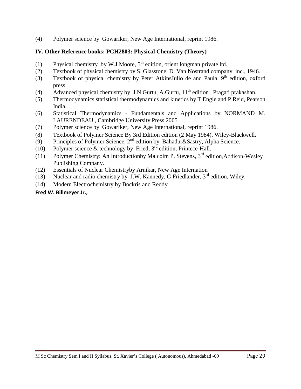(4) Polymer science by Gowariker, New Age International, reprint 1986.

# **IV. Other Reference books: PCH2803: Physical Chemistry (Theory)**

- (1) Physical chemistry by W.J.Moore,  $5<sup>th</sup>$  edition, orient longman private ltd.
- (2) Textbook of physical chemistry by S. Glasstone, D. Van Nostrand company, inc., 1946.
- (3) Textbook of physical chemistry by [Peter AtkinsJulio de and Paula,](http://www.amazon.com/s/ref=dp_byline_sr_book_1?ie=UTF8&field-author=Peter+Atkins&search-alias=books&text=Peter+Atkins&sort=relevancerank)  $9<sup>th</sup>$  edition, oxford press.
- (4) Advanced physical chemistry by J.N.Gurtu, A.Gurtu,  $11<sup>th</sup>$  edition, Pragati prakashan.
- (5) Thermodynamics,statistical thermodynamics and kinetics by T.Engle and P.Reid, Pearson India.
- (6) Statistical Thermodynamics Fundamentals and Applications by NORMAND M. LAURENDEAU , Cambridge University Press 2005
- (7) Polymer science by Gowariker, New Age International, reprint 1986.
- (8) Textbook of Polymer Science By 3rd Edition edition (2 May 1984), Wiley-Blackwell.
- (9) Principles of Polymer Science,  $2^{nd}$  edition by Bahadur&Sastry, Alpha Science.
- (10) Polymer science & technology by Fried,  $3<sup>rd</sup>$  edition, Printece-Hall.
- (11) Polymer Chemistry: An Introductionby Malcolm P. Stevens,  $3<sup>rd</sup>$  edition, Addison-Wesley Publishing Company.
- (12) Essentials of Nuclear Chemistryby Arnikar, New Age Internation
- (13) Nuclear and radio chemistry by J.W. Kannedy, G.Friedlander,  $3<sup>rd</sup>$  edition, Wiley.
- (14) Modern Electrochemistry by Bockris and Reddy

# **[Fred W. Billmeyer Jr.,](http://www.amazon.com/s/ref=dp_byline_sr_book_1?ie=UTF8&field-author=Fred+W.+Billmeyer+Jr.&search-alias=books&text=Fred+W.+Billmeyer+Jr.&sort=relevancerank)**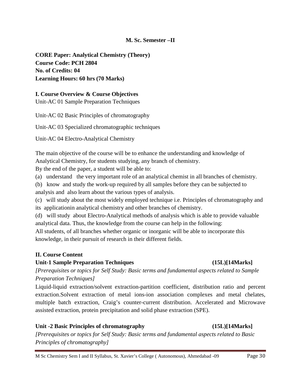# **M. Sc. Semester –II**

**CORE Paper: Analytical Chemistry (Theory) Course Code: PCH 2804 No. of Credits: 04 Learning Hours: 60 hrs (70 Marks)**

#### **I. Course Overview & Course Objectives**

Unit-AC 01 Sample Preparation Techniques

Unit-AC 02 Basic Principles of chromatography

Unit-AC 03 Specialized chromatographic techniques

Unit-AC 04 Electro-Analytical Chemistry

The main objective of the course will be to enhance the understanding and knowledge of Analytical Chemistry, for students studying, any branch of chemistry.

By the end of the paper, a student will be able to:

(a) understand the very important role of an analytical chemist in all branches of chemistry.

(b) know and study the work-up required by all samples before they can be subjected to analysis and also learn about the various types of analysis.

(c) will study about the most widely employed technique i.e. Principles of chromatography and its applicationin analytical chemistry and other branches of chemistry.

(d) will study about Electro-Analytical methods of analysis which is able to provide valuable analytical data. Thus, the knowledge from the course can help in the following:

All students, of all branches whether organic or inorganic will be able to incorporate this knowledge, in their pursuit of research in their different fields.

# **II. Course Content**

# **Unit-1 Sample Preparation Techniques (15L)[14Marks]**

*[Prerequisites or topics for Self Study: Basic terms and fundamental aspects related to Sample Preparation Techniques]*

Liquid-liquid extraction/solvent extraction-partition coefficient, distribution ratio and percent extraction.Solvent extraction of metal ions-ion association complexes and metal chelates, multiple batch extraction, Craig's counter-current distribution. Accelerated and Microwave assisted extraction, protein precipitation and solid phase extraction (SPE).

# **Unit -2 Basic Principles of chromatography (15L)[14Marks]**

*[Prerequisites or topics for Self Study: Basic terms and fundamental aspects related to Basic Principles of chromatography]*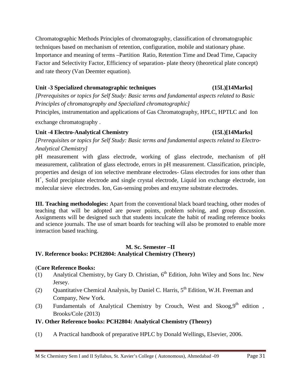Chromatographic Methods Principles of chromatography, classification of chromatographic techniques based on mechanism of retention, configuration, mobile and stationary phase. Importance and meaning of terms –Partition Ratio, Retention Time and Dead Time, Capacity Factor and Selectivity Factor, Efficiency of separation- plate theory (theoretical plate concept) and rate theory (Van Deemter equation).

# **Unit -3 Specialized chromatographic techniques (15L)[14Marks]**

*[Prerequisites or topics for Self Study: Basic terms and fundamental aspects related to Basic Principles of chromatography and Specialized chromatographic]*

Principles, instrumentation and applications of Gas Chromatography, HPLC, HPTLC and Ion

exchange chromatography .

# **Unit -4 Electro-Analytical Chemistry (15L)[14Marks]**

*[Prerequisites or topics for Self Study: Basic terms and fundamental aspects related to Electro-Analytical Chemistry]*

pH measurement with glass electrode, working of glass electrode, mechanism of pH measurement, calibration of glass electrode, errors in pH measurement. Classification, principle, properties and design of ion selective membrane electrodes- Glass electrodes for ions other than H<sup>+</sup>, Solid precipitate electrode and single crystal electrode, Liquid ion exchange electrode, ion molecular sieve electrodes. Ion, Gas-sensing probes and enzyme substrate electrodes.

**III. Teaching methodologies:** Apart from the conventional black board teaching, other modes of teaching that will be adopted are power points, problem solving, and group discussion. Assignments will be designed such that students inculcate the habit of reading reference books and science journals. The use of smart boards for teaching will also be promoted to enable more interaction based teaching.

# **M. Sc. Semester –II IV. Reference books: PCH2804: Analytical Chemistry (Theory)**

# (**Core Reference Books:**

- (1) Analytical Chemistry, by Gary D. Christian,  $6<sup>th</sup>$  Edition, John Wiley and Sons Inc. New Jersey.
- (2) Ouantitative Chemical Analysis, by Daniel C. Harris,  $5<sup>th</sup>$  Edition, W.H. Freeman and Company, New York.
- (3) Fundamentals of Analytical Chemistry by Crouch, West and  $Skoog,9<sup>th</sup>$  edition, Brooks/Cole (2013)

# **IV. Other Reference books: PCH2804: Analytical Chemistry (Theory)**

(1) A Practical handbook of preparative HPLC by Donald Wellings, Elsevier, 2006.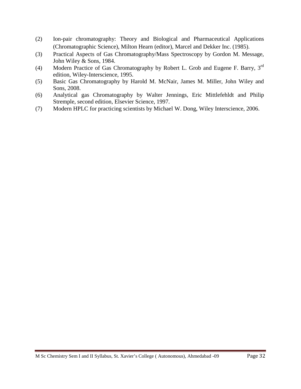- (2) Ion-pair chromatography: Theory and Biological and Pharmaceutical Applications (Chromatographic Science), Milton Hearn (editor), Marcel and Dekker Inc. (1985).
- (3) Practical Aspects of Gas Chromatography/Mass Spectroscopy by Gordon M. Message, John Wiley & Sons, 1984.
- (4) Modern Practice of Gas Chromatography by Robert L. Grob and Eugene F. Barry, 3rd edition, Wiley-Interscience, 1995.
- (5) Basic Gas Chromatography by Harold M. McNair, James M. Miller, John Wiley and Sons, 2008.
- (6) Analytical gas Chromatography by Walter Jennings, Eric Mittlefehldt and Philip Stremple, second edition, Elsevier Science, 1997.
- (7) Modern HPLC for practicing scientists by Michael W. Dong, Wiley Interscience, 2006.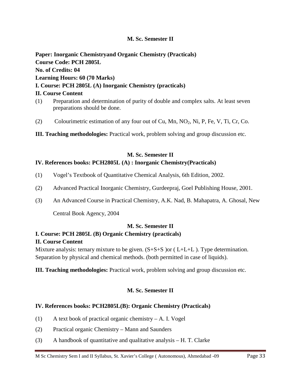# **M. Sc. Semester II**

**Paper: Inorganic Chemistryand Organic Chemistry (Practicals) Course Code: PCH 2805L No. of Credits: 04 Learning Hours: 60 (70 Marks) I. Course: PCH 2805L (A) Inorganic Chemistry (practicals) II. Course Content** (1) Preparation and determination of purity of double and complex salts. At least seven

- preparations should be done.
- (2) Colourimetric estimation of any four out of Cu, Mn,  $NO<sub>2</sub>$ , Ni, P, Fe, V, Ti, Cr, Co.
- **III. Teaching methodologies:** Practical work, problem solving and group discussion etc.

# **M. Sc. Semester II**

# **IV. References books: PCH2805L (A) : Inorganic Chemistry(Practicals)**

- (1) Vogel's Textbook of Quantitative Chemical Analysis, 6th Edition, 2002.
- (2) Advanced Practical Inorganic Chemistry, Gurdeepraj, Goel Publishing House, 2001.
- (3) An Advanced Course in Practical Chemistry, A.K. Nad, B. Mahapatra, A. Ghosal, New

Central Book Agency, 2004

# **M. Sc. Semester II**

# **I. Course: PCH 2805L (B) Organic Chemistry (practicals)**

# **II. Course Content**

Mixture analysis: ternary mixture to be given.  $(S+S+S)$  or (L+L+L). Type determination. Separation by physical and chemical methods. (both permitted in case of liquids).

**III. Teaching methodologies:** Practical work, problem solving and group discussion etc.

# **M. Sc. Semester II**

# **IV. References books: PCH2805L(B): Organic Chemistry (Practicals)**

- (1) A text book of practical organic chemistry A. I. Vogel
- (2) Practical organic Chemistry Mann and Saunders
- (3) A handbook of quantitative and qualitative analysis H. T. Clarke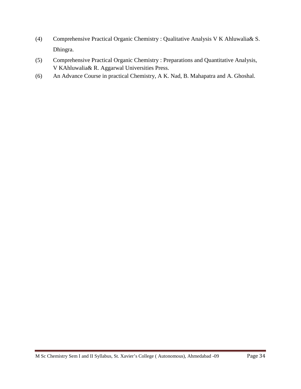- (4) Comprehensive Practical Organic Chemistry : Qualitative Analysis V K Ahluwalia& S. Dhingra.
- (5) Comprehensive Practical Organic Chemistry : Preparations and Quantitative Analysis, V KAhluwalia& R. Aggarwal Universities Press.
- (6) An Advance Course in practical Chemistry, A K. Nad, B. Mahapatra and A. Ghoshal.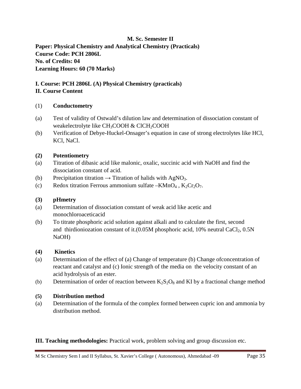**M. Sc. Semester II Paper: Physical Chemistry and Analytical Chemistry (Practicals) Course Code: PCH 2806L No. of Credits: 04 Learning Hours: 60 (70 Marks)**

#### **I. Course: PCH 2806L (A) Physical Chemistry (practicals) II. Course Content**

# (1) **Conductometry**

- (a) Test of validity of Ostwald's dilution law and determination of dissociation constant of weakelectrolyte like  $CH<sub>3</sub>COOH \& CICH<sub>2</sub>COOH$
- (b) Verification of Debye-Huckel-Onsager's equation in case of strong electrolytes like HCl, KCl, NaCl.

# **(2) Potentiometry**

- (a) Titration of dibasic acid like malonic, oxalic, succinic acid with NaOH and find the dissociation constant of acid.
- (b) Precipitation titration  $\rightarrow$  Titration of halids with AgNO<sub>3</sub>.
- (c) Redox titration Ferrous ammonium sulfate  $KMnO_4$ ,  $K_2Cr_2O_7$ .

# **(3) pHmetry**

- (a) Determination of dissociation constant of weak acid like acetic and monochloroaceticacid
- (b) To titrate phosphoric acid solution against alkali and to calculate the first, second and thirdioniozation constant of it. $(0.05M$  phosphoric acid, 10% neutral CaCl<sub>2</sub>, 0.5N NaOH)

# **(4) Kinetics**

- (a) Determination of the effect of (a) Change of temperature (b) Change ofconcentration of reactant and catalyst and (c) Ionic strength of the media on the velocity constant of an acid hydrolysis of an ester.
- (b) Determination of order of reaction between  $K_2S_2O_8$  and KI by a fractional change method

# **(5) Distribution method**

(a) Determination of the formula of the complex formed between cupric ion and ammonia by distribution method.

# **III. Teaching methodologies:** Practical work, problem solving and group discussion etc.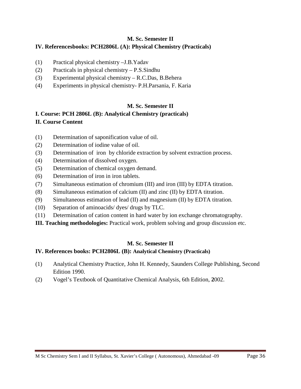# **M. Sc. Semester II**

# **IV. Referencesbooks: PCH2806L (A): Physical Chemistry (Practicals)**

- (1) Practical physical chemistry –J.B.Yadav
- (2) Practicals in physical chemistry P.S.Sindhu
- (3) Experimental physical chemistry R.C.Das, B.Behera
- (4) Experiments in physical chemistry- P.H.Parsania, F. Karia

# **M. Sc. Semester II**

# **I. Course: PCH 2806L (B): Analytical Chemistry (practicals) II. Course Content**

- (1) Determination of saponification value of oil.
- (2) Determination of iodine value of oil.
- (3) Determination of iron by chloride extraction by solvent extraction process.
- (4) Determination of dissolved oxygen.
- (5) Determination of chemical oxygen demand.
- (6) Determination of iron in iron tablets.
- (7) Simultaneous estimation of chromium (III) and iron (III) by EDTA titration.
- (8) Simultaneous estimation of calcium (II) and zinc (II) by EDTA titration.
- (9) Simultaneous estimation of lead (II) and magnesium (II) by EDTA titration.
- (10) Separation of aminoacids/ dyes/ drugs by TLC.
- (11) Determination of cation content in hard water by ion exchange chromatography.
- **III. Teaching methodologies:** Practical work, problem solving and group discussion etc.

# **M. Sc. Semester II**

# **IV. References books: PCH2806L (B): Analytical Chemistry (Practicals)**

- (1) Analytical Chemistry Practice, John H. Kennedy, Saunders College Publishing, Second Edition 1990.
- (2) Vogel's Textbook of Quantitative Chemical Analysis, 6th Edition, **2**002.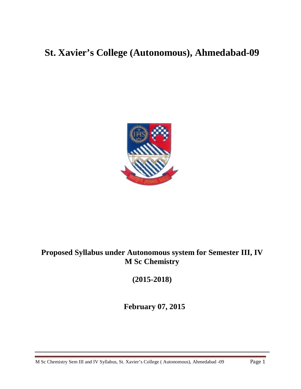# **St. Xavier's College (Autonomous), Ahmedabad-09**



# **Proposed Syllabus under Autonomous system for Semester III, IV M Sc Chemistry**

**(2015-2018)**

**February 07, 2015**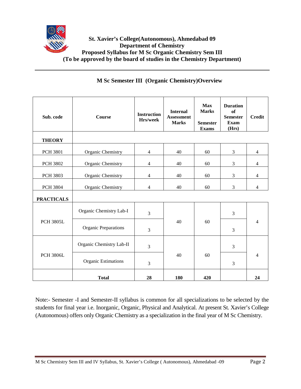

| Sub. code         | <b>Course</b>               | <b>Instruction</b><br>Hrs/week | <b>Internal</b><br><b>Assessment</b><br><b>Marks</b> | <b>Max</b><br><b>Marks</b><br><b>Semester</b><br><b>Exams</b> | <b>Duration</b><br><b>of</b><br><b>Semester</b><br><b>Exam</b><br>(Hrs) | <b>Credit</b>  |
|-------------------|-----------------------------|--------------------------------|------------------------------------------------------|---------------------------------------------------------------|-------------------------------------------------------------------------|----------------|
| <b>THEORY</b>     |                             |                                |                                                      |                                                               |                                                                         |                |
| <b>PCH 3801</b>   | Organic Chemistry           | $\overline{4}$                 | 40                                                   | 60                                                            | 3                                                                       | 4              |
| <b>PCH 3802</b>   | Organic Chemistry           | $\overline{4}$                 | 40                                                   | 60                                                            | 3                                                                       | 4              |
| <b>PCH 3803</b>   | Organic Chemistry           | $\overline{4}$                 | 40                                                   | 60                                                            | 3                                                                       | $\overline{4}$ |
| PCH 3804          | Organic Chemistry           | $\overline{4}$                 | 40                                                   | 60                                                            | 3                                                                       | $\overline{4}$ |
| <b>PRACTICALS</b> |                             |                                |                                                      |                                                               |                                                                         |                |
|                   | Organic Chemistry Lab-I     | 3                              |                                                      | 60                                                            | 3                                                                       |                |
| <b>PCH 3805L</b>  | <b>Organic Preparations</b> | 3                              | 40                                                   |                                                               | 3                                                                       | 4              |
|                   | Organic Chemistry Lab-II    | $\overline{3}$                 |                                                      |                                                               | 3                                                                       |                |
| <b>PCH 3806L</b>  | <b>Organic Estimations</b>  | 3                              | 40                                                   | 60                                                            | 3                                                                       | 4              |
|                   | <b>Total</b>                | 28                             | 180                                                  | 420                                                           |                                                                         | 24             |

Note:- Semester -I and Semester-II syllabus is common for all specializations to be selected by the students for final year i.e. Inorganic, Organic, Physical and Analytical. At present St. Xavier's College (Autonomous) offers only Organic Chemistry as a specialization in the final year of M Sc Chemistry.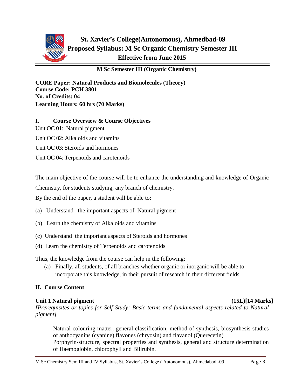

**CORE Paper: Natural Products and Biomolecules (Theory) Course Code: PCH 3801 No. of Credits: 04 Learning Hours: 60 hrs (70 Marks)**

# **I. Course Overview & Course Objectives**

Unit OC 01: Natural pigment

Unit OC 02: Alkaloids and vitamins

Unit OC 03: Steroids and hormones

Unit OC 04: Terpenoids and carotenoids

The main objective of the course will be to enhance the understanding and knowledge of Organic

Chemistry, for students studying, any branch of chemistry.

By the end of the paper, a student will be able to:

- (a) Understand the important aspects of Natural pigment
- (b) Learn the chemistry of Alkaloids and vitamins
- (c) Understand the important aspects of Steroids and hormones
- (d) Learn the chemistry of Terpenoids and carotenoids

Thus, the knowledge from the course can help in the following:

(a) Finally, all students, of all branches whether organic or inorganic will be able to incorporate this knowledge, in their pursuit of research in their different fields.

# **II. Course Content**

# **Unit 1 Natural pigment (15L)[14 Marks]**

*[Prerequisites or topics for Self Study: Basic terms and fundamental aspects related to Natural pigment]*

Natural colouring matter, general classification, method of synthesis, biosynthesis studies of anthocyanins (cyanine) flavones (chryosin) and flavanol (Querecetin) Porphyrin-structure, spectral properties and synthesis, general and structure determination of Haemoglobin, chlorophyll and Bilirubin.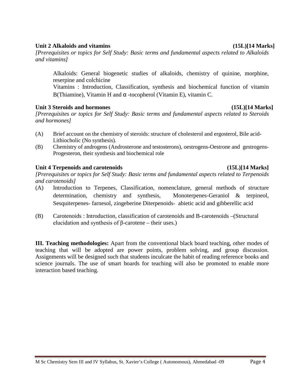#### M Sc Chemistry Sem III and IV Syllabus, St. Xavier's College ( Autonomous), Ahmedabad -09 Page 4

# Unit 2 Alkaloids and vitamins (15L)[14 Marks]

*[Prerequisites or topics for Self Study: Basic terms and fundamental aspects related to Alkaloids and vitamins]*

Alkaloids: General biogenetic studies of alkaloids, chemistry of quinine, morphine, reserpine and colchicine

Vitamins : Introduction, Classification, synthesis and biochemical function of vitamin B(Thiamine), Vitamin H and α -tocopherol (Vitamin E), vitamin C.

#### **Unit 3 Steroids and hormones (15L)[14 Marks]**

*[Prerequisites or topics for Self Study: Basic terms and fundamental aspects related to Steroids and hormones]*

- (A) Brief account on the chemistry of steroids: structure of cholesterol and ergosterol, Bile acid-Lithiocholic (No synthesis).
- (B) Chemistry of androgens (Androsterone and testosterons), oestrogens-Oestrone and gestrogens-Progesteron, their synthesis and biochemical role

# Unit 4 Terpenoids and carotenoids (15L)[14 Marks]

*[Prerequisites or topics for Self Study: Basic terms and fundamental aspects related to Terpenoids and carotenoids]*

- (A) Introduction to Terpenes, Classification, nomenclature, general methods of structure determination, chemistry and synthesis, Monoterpenes-Geraniol & terpineol, Sesquiterpenes- farnesol, zingeberine Diterpenoids- abietic acid and gibberellic acid
- (B) Carotenoids : Introduction, classification of carotenoids and B-carotenoids –(Structural elucidation and synthesis of  $β$ -carotene – their uses.)

**III. Teaching methodologies:** Apart from the conventional black board teaching, other modes of teaching that will be adopted are power points, problem solving, and group discussion. Assignments will be designed such that students inculcate the habit of reading reference books and science journals. The use of smart boards for teaching will also be promoted to enable more interaction based teaching.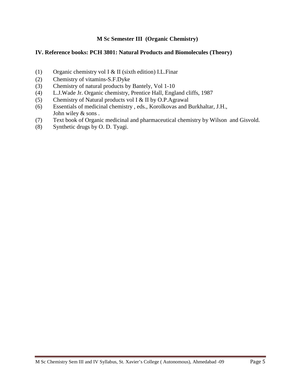### **IV. Reference books: PCH 3801: Natural Products and Biomolecules (Theory)**

- (1) Organic chemistry vol I & II (sixth edition) I.L.Finar
- (2) Chemistry of vitamins-S.F.Dyke
- (3) Chemistry of natural products by Bantely, Vol 1-10
- (4) L.J.Wade Jr. Organic chemistry, Prentice Hall, England cliffs, 1987
- (5) Chemistry of Natural products vol I & II by O.P.Agrawal
- (6) Essentials of medicinal chemistry , eds., Korolkovas and Burkhaltar, J.H., John wiley & sons .
- (7) Text book of Organic medicinal and pharmaceutical chemistry by Wilson and Gisvold.
- (8) Synthetic drugs by O. D. Tyagi.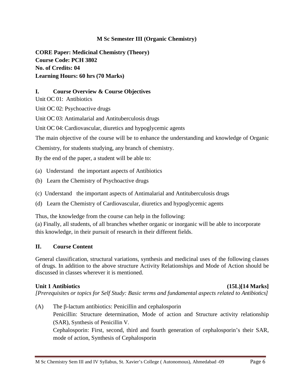**CORE Paper: Medicinal Chemistry (Theory) Course Code: PCH 3802 No. of Credits: 04 Learning Hours: 60 hrs (70 Marks)**

# **I. Course Overview & Course Objectives**

Unit OC 01: Antibiotics

Unit OC 02: Psychoactive drugs

Unit OC 03: Antimalarial and Antituberculosis drugs

Unit OC 04: Cardiovascular, diuretics and hypoglycemic agents

The main objective of the course will be to enhance the understanding and knowledge of Organic

Chemistry, for students studying, any branch of chemistry.

By the end of the paper, a student will be able to:

(a) Understand the important aspects of Antibiotics

- (b) Learn the Chemistry of Psychoactive drugs
- (c) Understand the important aspects of Antimalarial and Antituberculosis drugs
- (d) Learn the Chemistry of Cardiovascular, diuretics and hypoglycemic agents

Thus, the knowledge from the course can help in the following:

(a) Finally, all students, of all branches whether organic or inorganic will be able to incorporate this knowledge, in their pursuit of research in their different fields.

# **II. Course Content**

General classification, structural variations, synthesis and medicinal uses of the following classes of drugs. In addition to the above structure Activity Relationships and Mode of Action should be discussed in classes wherever it is mentioned.

# **Unit 1 Antibiotics (15L)[14 Marks]**

*[Prerequisites or topics for Self Study: Basic terms and fundamental aspects related to Antibiotics]*

(A) The β-lactum antibiotics: Penicillin and cephalosporin Penicillin: Structure determination, Mode of action and Structure activity relationship (SAR), Synthesis of Penicillin V. Cephalosporin: First, second, third and fourth generation of cephalosporin's their SAR, mode of action, Synthesis of Cephalosporin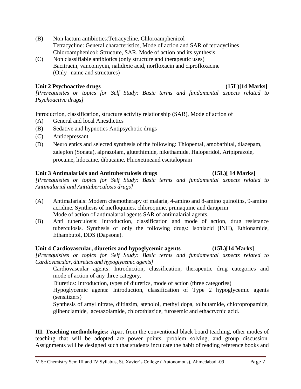- (B) Non lactum antibiotics:Tetracycline, Chloroamphenicol Tetracycline: General characteristics, Mode of action and SAR of tetracyclines Chloroamphenicol: Structure, SAR, Mode of action and its synthesis.
- (C) Non classifiable antibiotics (only structure and therapeutic uses) Bacitracin, vancomycin, nalidixic acid, norfloxacin and ciprofloxacine (Only name and structures)

# Unit 2 Psychoactive drugs (15L)[14 Marks]

*[Prerequisites or topics for Self Study: Basic terms and fundamental aspects related to Psychoactive drugs]*

Introduction, classification, structure activity relationship (SAR), Mode of action of

- (A) General and local Anesthetics
- (B) Sedative and hypnotics Antipsychotic drugs
- (C) Antidepressant
- (D) Neuroleptics and selected synthesis of the following: Thiopental, amobarbital, diazepam, zaleplon (Sonata), alprazolam, glutethimide, nikethamide, Haloperidol, Aripiprazole, procaine, lidocaine, dibucaine, Fluoxetineand escitalopram

# **Unit 3 Antimalarials and Antituberculosis drugs (15L)[ 14 Marks]**

*[Prerequisites or topics for Self Study: Basic terms and fundamental aspects related to Antimalarial and Antituberculosis drugs]*

- (A) Antimalarials: Modern chemotherapy of malaria, 4-amino and 8-amino quinolins, 9-amino acridine. Synthesis of mefloquines, chloroquine, primaquine and daraprim Mode of action of antimalarial agents SAR of antimalarial agents.
- (B) Anti tuberculosis: Introduction, classification and mode of action, drug resistance tuberculosis. Synthesis of only the following drugs: Isoniazid (INH), Ethionamide, Ethambutol, DDS (Dapsone).

# **Unit 4 Cardiovascular, diuretics and hypoglycemic agents (15L)[14 Marks]**

*[Prerequisites or topics for Self Study: Basic terms and fundamental aspects related to Cardiovascular, diuretics and hypoglycemic agents]*

Cardiovascular agents: Introduction, classification, therapeutic drug categories and mode of action of any three category.

Diuretics: Introduction, types of diuretics, mode of action (three categories)

Hypoglycemic agents: Introduction, classification of Type 2 hypoglycemic agents (sensitizers)

Synthesis of amyl nitrate, diltiazim, atenolol, methyl dopa, tolbutamide, chloropropamide, glibenclamide, acetazolamide, chlorothiazide, furosemic and ethacrycnic acid.

**III. Teaching methodologies:** Apart from the conventional black board teaching, other modes of teaching that will be adopted are power points, problem solving, and group discussion. Assignments will be designed such that students inculcate the habit of reading reference books and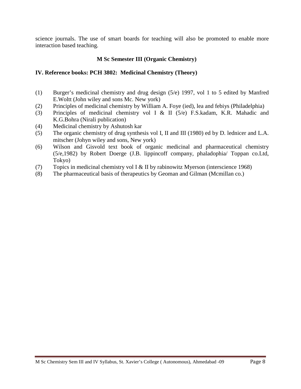science journals. The use of smart boards for teaching will also be promoted to enable more interaction based teaching.

# **M Sc Semester III (Organic Chemistry)**

# **IV. Reference books: PCH 3802: Medicinal Chemistry (Theory)**

- (1) Burger's medicinal chemistry and drug design (5/e) 1997, vol 1 to 5 edited by Manfred E.Woltt (John wiley and sons Mc. New york)
- (2) Principles of medicinal chemistry by William A. Foye (ied), lea and febiys (Philadelphia)
- (3) Principles of medicinal chemistry vol I & II (5/e) F.S.kadam, K.R. Mahadic and K.G.Bohra (Nirali publication)
- (4) Medicinal chemistry by Ashutosh kar
- (5) The organic chemistry of drug synthesis vol I, II and III (1980) ed by D. lednicer and L.A. mitscher (Johyn wiley and sons, New york)
- (6) Wilson and Gisvold text book of organic medicinal and pharmaceutical chemistry (5/e,1982) by Robert Doerge (J.B. lippincoff company, phaladophia/ Toppan co.Ltd, Tokyo)
- (7) Topics in medicinal chemistry vol I & II by rabinowitz Myerson (interscience 1968)
- (8) The pharmaceutical basis of therapeutics by Geoman and Gilman (Mcmillan co.)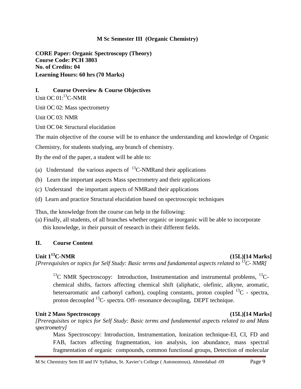**CORE Paper: Organic Spectroscopy (Theory) Course Code: PCH 3803 No. of Credits: 04 Learning Hours: 60 hrs (70 Marks)**

### **I. Course Overview & Course Objectives**

Unit OC 01:<sup>13</sup>C-NMR

Unit OC 02: Mass spectrometry

Unit OC 03: NMR

Unit OC 04: Structural elucidation

The main objective of the course will be to enhance the understanding and knowledge of Organic

Chemistry, for students studying, any branch of chemistry.

By the end of the paper, a student will be able to:

- (a) Understand the various aspects of  $^{13}$ C-NMR and their applications
- (b) Learn the important aspects Mass spectrometry and their applications
- (c) Understand the important aspects of NMRand their applications
- (d) Learn and practice Structural elucidation based on spectroscopic techniques

Thus, the knowledge from the course can help in the following:

(a) Finally, all students, of all branches whether organic or inorganic will be able to incorporate this knowledge, in their pursuit of research in their different fields.

# **II. Course Content**

# Unit 1<sup>13</sup>C-NMR (15L)[14 Marks]

*[Prerequisites or topics for Self Study: Basic terms and fundamental aspects related to 13C- NMR]*

 $^{13}$ C NMR Spectroscopy: Introduction, Instrumentation and instrumental problems,  $^{13}$ Cchemical shifts, factors affecting chemical shift (aliphatic, olefinic, alkyne, aromatic, heteroaromatic and carbonyl carbon), coupling constants, proton coupled  $^{13}C$  - spectra, proton decoupled  $^{13}$ C- spectra. Off- resonance decoupling, DEPT technique.

# **Unit 2 Mass Spectroscopy (15L)[14 Marks]**

*[Prerequisites or topics for Self Study: Basic terms and fundamental aspects related to and Mass spectrometry]*

Mass Spectroscopy: Introduction, Instrumentation, Ionization technique-EI, CI, FD and FAB, factors affecting fragmentation, ion analysis, ion abundance, mass spectral fragmentation of organic compounds, common functional groups, Detection of molecular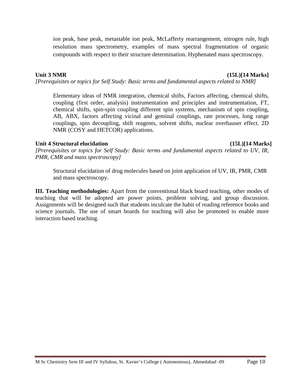ion peak, base peak, metastable ion peak, McLafferty rearrangement, nitrogen rule, high resolution mass spectrometry, examples of mass spectral fragmentation of organic compounds with respect to their structure determination. Hyphenated mass spectroscopy.

# **Unit 3 NMR (15L)[14 Marks]**

*[Prerequisites or topics for Self Study: Basic terms and fundamental aspects related to NMR]*

Elementary ideas of NMR integration, chemical shifts, Factors affecting, chemical shifts, coupling (first order, analysis) instrumentation and principles and instrumentation, FT, chemical shifts, spin-spin coupling different spin systems, mechanism of spin coupling, AB, ABX, factors affecting vicinal and geminal couplings, rate processes, long range couplings, spin decoupling, shift reagents, solvent shifts, nuclear overhauser effect. 2D NMR (COSY and HETCOR) applications.

# **Unit 4 Structural elucidation (15L)[14 Marks]**

*[Prerequisites or topics for Self Study: Basic terms and fundamental aspects related to UV, IR, PMR, CMR and mass spectroscopy]*

Structural elucidation of drug molecules based on joint application of UV, IR, PMR, CMR and mass spectroscopy.

**III. Teaching methodologies:** Apart from the conventional black board teaching, other modes of teaching that will be adopted are power points, problem solving, and group discussion. Assignments will be designed such that students inculcate the habit of reading reference books and science journals. The use of smart boards for teaching will also be promoted to enable more interaction based teaching.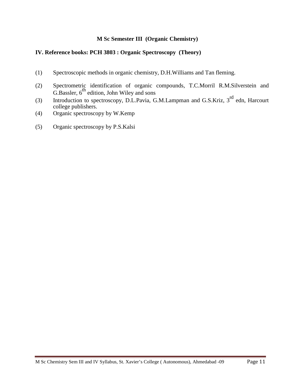# **IV. Reference books: PCH 3803 : Organic Spectroscopy (Theory)**

- (1) Spectroscopic methods in organic chemistry, D.H.Williams and Tan fleming.
- (2) Spectrometric identification of organic compounds, T.C.Morril R.M.Silverstein and G.Bassler,  $6^{\text{th}}$  edition, John Wiley and sons
- (3) Introduction to spectroscopy, D.L.Pavia, G.M.Lampman and G.S.Kriz, 3<sup>rd</sup> edn, Harcourt college publishers.
- (4) Organic spectroscopy by W.Kemp
- (5) Organic spectroscopy by P.S.Kalsi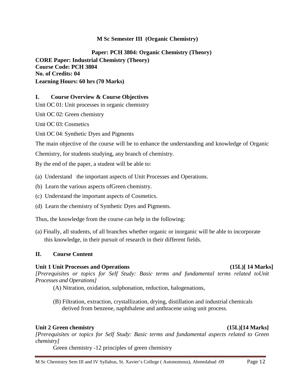**Paper: PCH 3804: Organic Chemistry (Theory) CORE Paper: Industrial Chemistry (Theory) Course Code: PCH 3804 No. of Credits: 04 Learning Hours: 60 hrs (70 Marks)**

#### **I. Course Overview & Course Objectives**

Unit OC 01: Unit processes in organic chemistry

Unit OC 02: Green chemistry

Unit OC 03: Cosmetics

Unit OC 04: Synthetic Dyes and Pigments

The main objective of the course will be to enhance the understanding and knowledge of Organic

Chemistry, for students studying, any branch of chemistry.

By the end of the paper, a student will be able to:

- (a) Understand the important aspects of Unit Processes and Operations.
- (b) Learn the various aspects ofGreen chemistry.
- (c) Understand the important aspects of Cosmetics.
- (d) Learn the chemistry of Synthetic Dyes and Pigments.

Thus, the knowledge from the course can help in the following:

(a) Finally, all students, of all branches whether organic or inorganic will be able to incorporate this knowledge, in their pursuit of research in their different fields.

# **II. Course Content**

#### **Unit 1 Unit Processes and Operations (15L)[ 14 Marks]**

*[Prerequisites or topics for Self Study: Basic terms and fundamental terms related toUnit Processes and Operations]*

(A) Nitration, oxidation, sulphonation, reduction, halogenations,

(B) Filtration, extraction, crystallization, drying, distillation and industrial chemicals derived from benzene, naphthalene and anthracene using unit process.

# **Unit 2 Green chemistry (15L)[14 Marks]**

*[Prerequisites or topics for Self Study: Basic terms and fundamental aspects related to Green chemistry]*

Green chemistry -12 principles of green chemistry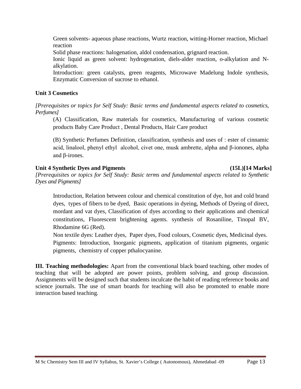Green solvents- aqueous phase reactions, Wurtz reaction, witting-Horner reaction, Michael reaction

Solid phase reactions: halogenation, aldol condensation, grignard reaction.

Ionic liquid as green solvent: hydrogenation, diels-alder reaction, o-alkylation and Nalkylation.

Introduction: green catalysts, green reagents, Microwave Madelung Indole synthesis, Enzymatic Conversion of sucrose to ethanol.

# **Unit 3 Cosmetics**

*[Prerequisites or topics for Self Study: Basic terms and fundamental aspects related to cosmetics, Perfumes]*

(A) Classification, Raw materials for cosmetics, Manufacturing of various cosmetic products Baby Care Product , Dental Products, Hair Care product

(B) Synthetic Perfumes Definition, classification, synthesis and uses of : ester of cinnamic acid, linalool, phenyl ethyl alcohol, civet one, musk ambrette, alpha and β-ionones, alpha and β-irones.

# **Unit 4 Synthetic Dyes and Pigments (15L)[14 Marks]**

*[Prerequisites or topics for Self Study: Basic terms and fundamental aspects related to Synthetic Dyes and Pigments]*

Introduction, Relation between colour and chemical constitution of dye, hot and cold brand dyes, types of fibers to be dyed, Basic operations in dyeing, Methods of Dyeing of direct, mordant and vat dyes, Classification of dyes according to their applications and chemical constitutions, Fluorescent brightening agents. synthesis of Rosaniline, Tinopal BV, Rhodamine 6G (Red).

Non textile dyes: Leather dyes, Paper dyes, Food colours, Cosmetic dyes, Medicinal dyes. Pigments: Introduction, Inorganic pigments, application of titanium pigments, organic pigments, chemistry of copper pthalocyanine.

**III. Teaching methodologies:** Apart from the conventional black board teaching, other modes of teaching that will be adopted are power points, problem solving, and group discussion. Assignments will be designed such that students inculcate the habit of reading reference books and science journals. The use of smart boards for teaching will also be promoted to enable more interaction based teaching.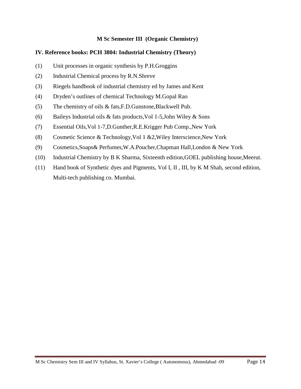# **IV. Reference books: PCH 3804: Industrial Chemistry (Theory)**

- (1) Unit processes in organic synthesis by P.H.Groggins
- (2) Industrial Chemical process by R.N.Shreve
- (3) Riegels handbook of industrial chemistry ed by James and Kent
- (4) Dryden's outlines of chemical Technology M.Gopal Rao
- (5) The chemistry of oils & fats,F.D.Gunstone,Blackwell Pub.
- (6) Baileys Industrial oils  $&$  fats products, Vol 1-5, John Wiley  $&$  Sons
- (7) Essential Oils,Vol 1-7,D.Gunther,R.E.Krigger Pub Comp.,New York
- (8) Cosmetic Science & Technology,Vol 1 &2,Wiley Interscience,New York
- (9) Cosmetics,Soaps& Perfumes,W.A.Poucher,Chapman Hall,London & New York
- (10) Industrial Chemistry by B K Sharma, Sixteenth edition,GOEL publishing house,Meerut.
- (11) Hand book of Synthetic dyes and Pigments, Vol I, II , III, by K M Shah, second edition, Multi-tech publishing co. Mumbai.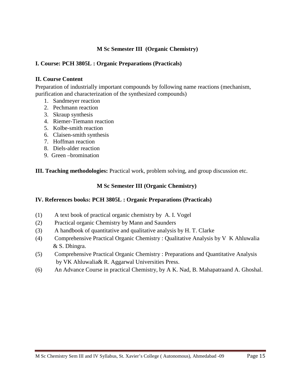### **I. Course: PCH 3805L : Organic Preparations (Practicals)**

#### **II. Course Content**

Preparation of industrially important compounds by following name reactions (mechanism, purification and characterization of the synthesized compounds)

- 1. Sandmeyer reaction
- 2. Pechmann reaction
- 3. Skraup synthesis
- 4. Riemer-Tiemann reaction
- 5. Kolbe-smith reaction
- 6. Claisen-smith synthesis
- 7. Hoffman reaction
- 8. Diels-alder reaction
- 9. Green –bromination

**III. Teaching methodologies:** Practical work, problem solving, and group discussion etc.

#### **M Sc Semester III (Organic Chemistry)**

# **IV. References books: PCH 3805L : Organic Preparations (Practicals)**

- (1) A text book of practical organic chemistry by A. I. Vogel
- (2) Practical organic Chemistry by Mann and Saunders
- (3) A handbook of quantitative and qualitative analysis by H. T. Clarke
- (4) Comprehensive Practical Organic Chemistry : Qualitative Analysis by V K Ahluwalia & S. Dhingra.
- (5) Comprehensive Practical Organic Chemistry : Preparations and Quantitative Analysis by VK Ahluwalia& R. Aggarwal Universities Press.
- (6) An Advance Course in practical Chemistry, by A K. Nad, B. Mahapatraand A. Ghoshal.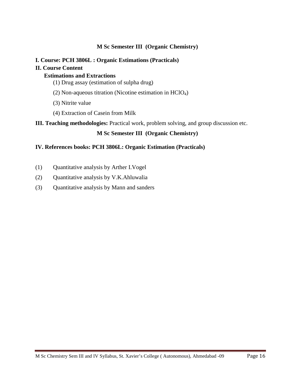# **I. Course: PCH 3806L : Organic Estimations (Practicals)**

# **II. Course Content**

# **Estimations and Extractions**

- (1) Drug assay (estimation of sulpha drug)
- (2) Non-aqueous titration (Nicotine estimation in HClO4)
- (3) Nitrite value
- (4) Extraction of Casein from Milk

# **III. Teaching methodologies:** Practical work, problem solving, and group discussion etc.

# **M Sc Semester III (Organic Chemistry)**

# **IV. References books: PCH 3806L: Organic Estimation (Practicals)**

- (1) Quantitative analysis by Arther I.Vogel
- (2) Quantitative analysis by V.K.Ahluwalia
- (3) Quantitative analysis by Mann and sanders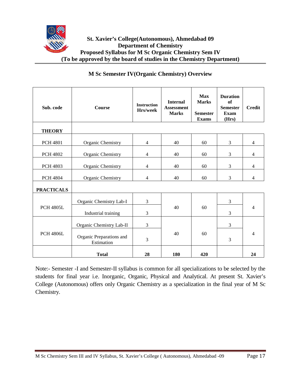

| Sub. code         | <b>Course</b>                          | <b>Instruction</b><br>Hrs/week | <b>Internal</b><br><b>Assessment</b><br><b>Marks</b> | Max<br><b>Marks</b><br><b>Semester</b><br><b>Exams</b> | <b>Duration</b><br>of<br><b>Semester</b><br><b>Exam</b><br>(Hrs) | <b>Credit</b>  |
|-------------------|----------------------------------------|--------------------------------|------------------------------------------------------|--------------------------------------------------------|------------------------------------------------------------------|----------------|
| <b>THEORY</b>     |                                        |                                |                                                      |                                                        |                                                                  |                |
| <b>PCH 4801</b>   | Organic Chemistry                      | $\overline{4}$                 | 40                                                   | 60                                                     | 3                                                                | 4              |
| <b>PCH 4802</b>   | Organic Chemistry                      | $\overline{4}$                 | 40                                                   | 60                                                     | 3                                                                | $\overline{4}$ |
| <b>PCH 4803</b>   | Organic Chemistry                      | $\overline{4}$                 | 40                                                   | 60                                                     | 3                                                                | $\overline{4}$ |
| <b>PCH 4804</b>   | Organic Chemistry                      | $\overline{4}$                 | 40                                                   | 60                                                     | 3                                                                | $\overline{4}$ |
| <b>PRACTICALS</b> |                                        |                                |                                                      |                                                        |                                                                  |                |
|                   | Organic Chemistry Lab-I                | 3                              |                                                      | 60                                                     | 3                                                                |                |
| <b>PCH 4805L</b>  | Industrial training                    | 3                              | 40                                                   |                                                        | 3                                                                | 4              |
|                   | Organic Chemistry Lab-II               | 3                              |                                                      | 60                                                     | 3                                                                |                |
| <b>PCH 4806L</b>  | Organic Preparations and<br>Estimation | 3                              | 40                                                   |                                                        | 3                                                                | 4              |
|                   | <b>Total</b>                           | 28                             | 180                                                  | 420                                                    |                                                                  | 24             |

# **M Sc Semester IV(Organic Chemistry) Overview**

Note:- Semester -I and Semester-II syllabus is common for all specializations to be selected by the students for final year i.e. Inorganic, Organic, Physical and Analytical. At present St. Xavier's College (Autonomous) offers only Organic Chemistry as a specialization in the final year of M Sc Chemistry.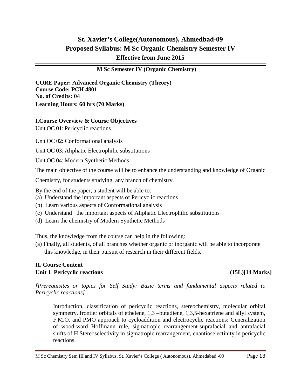# **St. Xavier's College(Autonomous), Ahmedbad-09 Proposed Syllabus: M Sc Organic Chemistry Semester IV Effective from June 2015**

### **M Sc Semester IV (Organic Chemistry)**

**CORE Paper: Advanced Organic Chemistry (Theory) Course Code: PCH 4801 No. of Credits: 04 Learning Hours: 60 hrs (70 Marks)**

#### **I.Course Overview & Course Objectives**

Unit OC 01: Pericyclic reactions

Unit OC 02: Conformational analysis

Unit OC 03: Aliphatic Electrophilic substitutions

Unit OC 04: Modern Synthetic Methods

The main objective of the course will be to enhance the understanding and knowledge of Organic

Chemistry, for students studying, any branch of chemistry.

By the end of the paper, a student will be able to:

- (a) Understand the important aspects of Pericyclic reactions
- (b) Learn various aspects of Conformational analysis
- (c) Understand the important aspects of Aliphatic Electrophilic substitutions
- (d) Learn the chemistry of Modern Synthetic Methods

Thus, the knowledge from the course can help in the following:

(a) Finally, all students, of all branches whether organic or inorganic will be able to incorporate this knowledge, in their pursuit of research in their different fields.

# **II. Course Content Unit 1 Pericyclic reactions (15L)[14 Marks]**

*[Prerequisites or topics for Self Study: Basic terms and fundamental aspects related to Pericyclic reactions]*

Introduction, classification of pericyclic reactions, stereochemistry, molecular orbital symmetry, frontier orbitals of ethelene, 1,3 –butadiene, 1,3,5-hexatriene and allyl system, F.M.O. and PMO approach to cycloaddition and electrocyclic reactions: Generalization of wood-ward Hoffmann rule, sigmatropic rearrangement-suprafacial and antrafacial shifts of H.Stereoselectivity in sigmatropic rearrangement, enantioselectinity in pericyclic reactions.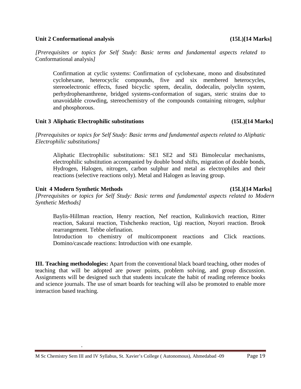#### **Unit 2 Conformational analysis (15L)[14 Marks]**

*[Prerequisites or topics for Self Study: Basic terms and fundamental aspects related to*  Conformational analysis*]*

Confirmation at cyclic systems: Confirmation of cyclohexane, mono and disubstituted cyclohexane, heterocyclic compounds, five and six membered heterocycles, stereoelectronic effects, fused bicyclic sptem, decalin, dodecalin, polyclin system, perhydrophenanthrene, bridged systems-conformation of sugars, steric strains due to unavoidable crowding, stereochemistry of the compounds containing nitrogen, sulphur and phosphorous.

#### **Unit 3 Aliphatic Electrophilic substitutions (15L)[14 Marks]**

*[Prerequisites or topics for Self Study: Basic terms and fundamental aspects related to Aliphatic Electrophilic substitutions]*

Aliphatic Electrophilic substitutions: SE1 SE2 and SEi Bimolecular mechanisms, electrophilic substitution accompanied by double bond shifts, migration of double bonds, Hydrogen, Halogen, nitrogen, carbon sulphur and metal as electrophiles and their reactions (selective reactions only). Metal and Halogen as leaving group.

# **Unit 4 Modern Synthetic Methods (15L)[14 Marks]**

.

*[Prerequisites or topics for Self Study: Basic terms and fundamental aspects related to Modern Synthetic Methods]*

Baylis-Hillman reaction, Henry reaction, Nef reaction, Kulinkovich reaction, Ritter reaction, Sakurai reaction, Tishchenko reaction, Ugi reaction, Noyori reaction. Brook rearrangement. Tebbe olefination.

Introduction to chemistry of multicomponent reactions and Click reactions. Domino/cascade reactions: Introduction with one example.

**III. Teaching methodologies:** Apart from the conventional black board teaching, other modes of teaching that will be adopted are power points, problem solving, and group discussion. Assignments will be designed such that students inculcate the habit of reading reference books and science journals. The use of smart boards for teaching will also be promoted to enable more interaction based teaching.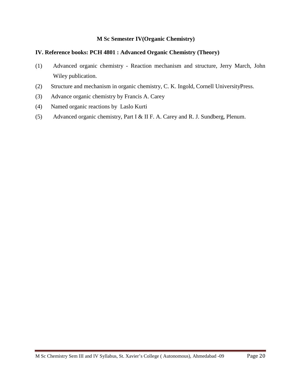# **IV. Reference books: PCH 4801 : Advanced Organic Chemistry (Theory)**

- (1) Advanced organic chemistry Reaction mechanism and structure, Jerry March, John Wiley publication.
- (2) Structure and mechanism in organic chemistry, C. K. Ingold, Cornell UniversityPress.
- (3) Advance organic chemistry by Francis A. Carey
- (4) Named organic reactions by Laslo Kurti
- (5) Advanced organic chemistry, Part I & II F. A. Carey and R. J. Sundberg, Plenum.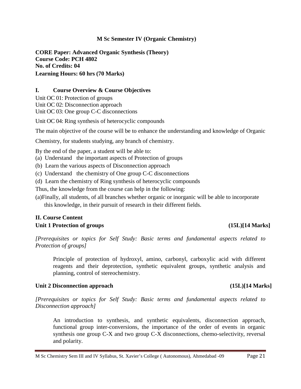**CORE Paper: Advanced Organic Synthesis (Theory) Course Code: PCH 4802 No. of Credits: 04 Learning Hours: 60 hrs (70 Marks)**

#### **I. Course Overview & Course Objectives**

Unit OC 01: Protection of groups Unit OC 02: Disconnection approach Unit OC 03: One group C-C disconnections

Unit OC 04: Ring synthesis of heterocyclic compounds

The main objective of the course will be to enhance the understanding and knowledge of Organic

Chemistry, for students studying, any branch of chemistry.

By the end of the paper, a student will be able to:

(a) Understand the important aspects of Protection of groups

(b) Learn the various aspects of Disconnection approach

(c) Understand the chemistry of One group C-C disconnections

(d) Learn the chemistry of Ring synthesis of heterocyclic compounds

Thus, the knowledge from the course can help in the following:

(a)Finally, all students, of all branches whether organic or inorganic will be able to incorporate this knowledge, in their pursuit of research in their different fields.

# **II. Course Content Unit 1 Protection of groups (15L)[14 Marks]**

*[Prerequisites or topics for Self Study: Basic terms and fundamental aspects related to Protection of groups]*

Principle of protection of hydroxyl, amino, carbonyl, carboxylic acid with different reagents and their deprotection, synthetic equivalent groups, synthetic analysis and planning, control of stereochemistry.

#### **Unit 2 Disconnection approach (15L)[14 Marks]**

*[Prerequisites or topics for Self Study: Basic terms and fundamental aspects related to Disconnection approach]*

An introduction to synthesis, and synthetic equivalents, disconnection approach, functional group inter-conversions, the importance of the order of events in organic synthesis one group C-X and two group C-X disconnections, chemo-selectivity, reversal and polarity.

M Sc Chemistry Sem III and IV Syllabus, St. Xavier's College ( Autonomous), Ahmedabad -09 Page 21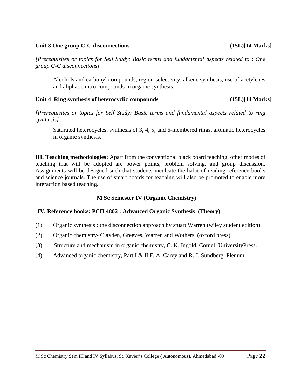#### **Unit 3 One group C-C disconnections (15L)[14 Marks]**

*synthesis]*

*[Prerequisites or topics for Self Study: Basic terms and fundamental aspects related to* : *One group C-C disconnections]*

Alcohols and carbonyl compounds, region-selectivity, alkene synthesis, use of acetylenes and aliphatic nitro compounds in organic synthesis.

#### **Unit 4 Ring synthesis of heterocyclic compounds (15L)[14 Marks]**

*[Prerequisites or topics for Self Study: Basic terms and fundamental aspects related to ring* 

Saturated heterocycles, synthesis of 3, 4, 5, and 6-membered rings, aromatic heterocycles in organic synthesis.

**III. Teaching methodologies:** Apart from the conventional black board teaching, other modes of teaching that will be adopted are power points, problem solving, and group discussion. Assignments will be designed such that students inculcate the habit of reading reference books and science journals. The use of smart boards for teaching will also be promoted to enable more interaction based teaching.

# **M Sc Semester IV (Organic Chemistry)**

#### **IV. Reference books: PCH 4802 : Advanced Organic Synthesis (Theory)**

- (1) Organic synthesis : the disconnection approach by stuart Warren (wiley student edition)
- (2) Organic chemistry- Clayden, Greeves, Warren and Wothers, (oxford press)
- (3) Structure and mechanism in organic chemistry, C. K. Ingold, Cornell UniversityPress.
- (4) Advanced organic chemistry, Part I & II F. A. Carey and R. J. Sundberg, Plenum.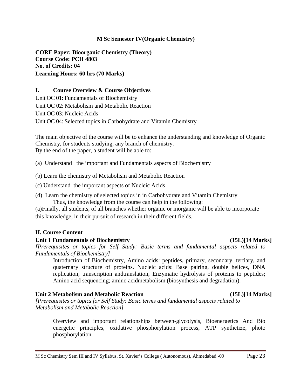**CORE Paper: Bioorganic Chemistry (Theory) Course Code: PCH 4803 No. of Credits: 04 Learning Hours: 60 hrs (70 Marks)**

#### **I. Course Overview & Course Objectives**

Unit OC 01: Fundamentals of Biochemistry Unit OC 02: Metabolism and Metabolic Reaction Unit OC 03: Nucleic Acids Unit OC 04: Selected topics in Carbohydrate and Vitamin Chemistry

The main objective of the course will be to enhance the understanding and knowledge of Organic Chemistry, for students studying, any branch of chemistry. By the end of the paper, a student will be able to:

(a) Understand the important and Fundamentals aspects of Biochemistry

- (b) Learn the chemistry of Metabolism and Metabolic Reaction
- (c) Understand the important aspects of Nucleic Acids
- (d) Learn the chemistry of selected topics in in Carbohydrate and Vitamin Chemistry Thus, the knowledge from the course can help in the following:

(a)Finally, all students, of all branches whether organic or inorganic will be able to incorporate this knowledge, in their pursuit of research in their different fields.

#### **II. Course Content**

#### **Unit 1 Fundamentals of Biochemistry (15L)[14 Marks]**

*[Prerequisites or topics for Self Study: Basic terms and fundamental aspects related to Fundamentals of Biochemistry]*

Introduction of Biochemistry, Amino acids: peptides, primary, secondary, tertiary, and quaternary structure of proteins. Nucleic acids: Base pairing, double helices, DNA replication, transcription andtranslation, Enzymatic hydrolysis of proteins to peptides; Amino acid sequencing; amino acidmetabolism (biosynthesis and degradation).

#### **Unit 2 Metabolism and Metabolic Reaction (15L)[14 Marks]**

*[Prerequisites or topics for Self Study: Basic terms and fundamental aspects related to Metabolism and Metabolic Reaction]*

Overview and important relationships between-glycolysis, Bioenergetics And Bio energetic principles, oxidative phosphorylation process, ATP synthetize, photo phosphorylation.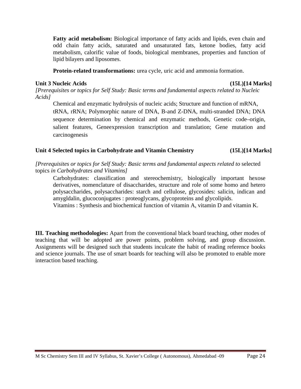**Fatty acid metabolism:** Biological importance of fatty acids and lipids, even chain and odd chain fatty acids, saturated and unsaturated fats, ketone bodies, fatty acid metabolism, calorific value of foods, biological membranes, properties and function of lipid bilayers and liposomes.

**Protein-related transformations:** urea cycle, uric acid and ammonia formation.

# **Unit 3 Nucleic Acids (15L)[14 Marks]**

*[Prerequisites or topics for Self Study: Basic terms and fundamental aspects related to Nucleic Acids]*

Chemical and enzymatic hydrolysis of nucleic acids; Structure and function of mRNA, tRNA, rRNA; Polymorphic nature of DNA, B-and Z-DNA, multi-stranded DNA; DNA sequence determination by chemical and enzymatic methods, Genetic code–origin, salient features, Geneexpression transcription and translation; Gene mutation and carcinogenesis

# **Unit 4 Selected topics in Carbohydrate and Vitamin Chemistry (15L)[14 Marks]**

*[Prerequisites or topics for Self Study: Basic terms and fundamental aspects related to* selected topics *in Carbohydrates and Vitamins]*

Carbohydrates: classification and stereochemistry, biologically important hexose derivatives, nomenclature of disaccharides, structure and role of some homo and hetero polysaccharides, polysaccharides: starch and cellulose, glycosides: salicin, indican and amygldalin, glucoconjugates : proteoglycans, glycoproteins and glycolipids.

Vitamins : Synthesis and biochemical function of vitamin A, vitamin D and vitamin K.

**III. Teaching methodologies:** Apart from the conventional black board teaching, other modes of teaching that will be adopted are power points, problem solving, and group discussion. Assignments will be designed such that students inculcate the habit of reading reference books and science journals. The use of smart boards for teaching will also be promoted to enable more interaction based teaching.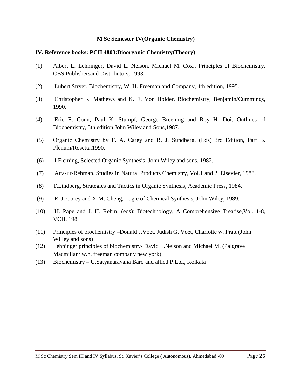#### **IV. Reference books: PCH 4803:Bioorganic Chemistry(Theory)**

- (1) Albert L. Lehninger, David L. Nelson, Michael M. Cox., Principles of Biochemistry, CBS Publishersand Distributors, 1993.
- (2) Lubert Stryer, Biochemistry, W. H. Freeman and Company, 4th edition, 1995.
- (3) Christopher K. Mathews and K. E. Von Holder, Biochemistry, Benjamin/Cummings, 1990.
- (4) Eric E. Conn, Paul K. Stumpf, George Breening and Roy H. Doi, Outlines of Biochemistry, 5th edition,John Wiley and Sons,1987.
- (5) Organic Chemistry by F. A. Carey and R. J. Sundberg, (Eds) 3rd Edition, Part B. Plenum/Rosetta,1990.
- (6) I.Fleming, Selected Organic Synthesis, John Wiley and sons, 1982.
- (7) Atta-ur-Rehman, Studies in Natural Products Chemistry, Vol.1 and 2, Elsevier, 1988.
- (8) T.Lindberg, Strategies and Tactics in Organic Synthesis, Academic Press, 1984.
- (9) E. J. Corey and X-M. Cheng, Logic of Chemical Synthesis, John Wiley, 1989.
- (10) H. Pape and J. H. Rehm, (eds): Biotechnology, A Comprehensive Treatise,Vol. 1-8, VCH, 198
- (11) Principles of biochemistry –Donald J.Voet, Judish G. Voet, Charlotte w. Pratt (John Willey and sons)
- (12) Lehninger principles of biochemistry- David L.Nelson and Michael M. (Palgrave Macmillan/ w.h. freeman company new york)
- (13) Biochemistry U.Satyanarayana Baro and allied P.Ltd., Kolkata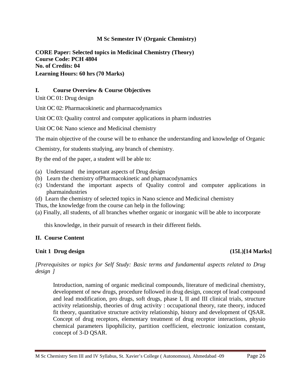**CORE Paper: Selected topics in Medicinal Chemistry (Theory) Course Code: PCH 4804 No. of Credits: 04 Learning Hours: 60 hrs (70 Marks)**

# **I. Course Overview & Course Objectives**

Unit OC 01: Drug design

Unit OC 02: Pharmacokinetic and pharmacodynamics

Unit OC 03: Quality control and computer applications in pharm industries

Unit OC 04: Nano science and Medicinal chemistry

The main objective of the course will be to enhance the understanding and knowledge of Organic

Chemistry, for students studying, any branch of chemistry.

By the end of the paper, a student will be able to:

- (a) Understand the important aspects of Drug design
- (b) Learn the chemistry ofPharmacokinetic and pharmacodynamics
- (c) Understand the important aspects of Quality control and computer applications in pharmaindustries
- (d) Learn the chemistry of selected topics in Nano science and Medicinal chemistry

Thus, the knowledge from the course can help in the following:

(a) Finally, all students, of all branches whether organic or inorganic will be able to incorporate

this knowledge, in their pursuit of research in their different fields.

# **II. Course Content**

# **Unit 1 Drug design (15L)[14 Marks]**

*[Prerequisites or topics for Self Study: Basic terms and fundamental aspects related to Drug design ]*

Introduction, naming of organic medicinal compounds, literature of medicinal chemistry, development of new drugs, procedure followed in drug design, concept of lead compound and lead modification, pro drugs, soft drugs, phase I, II and III clinical trials, structure activity relationship, theories of drug activity : occupational theory, rate theory, induced fit theory, quantitative structure activity relationship, history and development of QSAR. Concept of drug receptors, elementary treatment of drug receptor interactions, physio chemical parameters lipophilicity, partition coefficient, electronic ionization constant, concept of 3-D QSAR.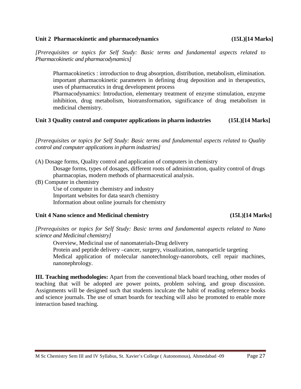#### **Unit 2 Pharmacokinetic and pharmacodynamics (15L)[14 Marks]**

*[Prerequisites or topics for Self Study: Basic terms and fundamental aspects related to Pharmacokinetic and pharmacodynamics]*

Pharmacokinetics : introduction to drug absorption, distribution, metabolism, elimination. important pharmacokinetic parameters in defining drug deposition and in therapeutics, uses of pharmaceutics in drug development process

Pharmacodynamics: Introduction, elementary treatment of enzyme stimulation, enzyme inhibition, drug metabolism, biotransformation, significance of drug metabolism in medicinal chemistry.

# **Unit 3 Quality control and computer applications in pharm industries (15L)[14 Marks]**

*[Prerequisites or topics for Self Study: Basic terms and fundamental aspects related to Quality control and computer applications in pharm industries]*

- (A) Dosage forms, Quality control and application of computers in chemistry Dosage forms, types of dosages, different roots of administration, quality control of drugs pharmacopias, modern methods of pharmaceutical analysis.
- (B) Computer in chemistry

Use of computer in chemistry and industry Important websites for data search chemistry Information about online journals for chemistry

# **Unit 4 Nano science and Medicinal chemistry (15L)[14 Marks]**

*[Prerequisites or topics for Self Study: Basic terms and fundamental aspects related to Nano science and Medicinal chemistry]*

Overview, Medicinal use of nanomaterials-Drug delivery Protein and peptide delivery –cancer, surgery, visualization, nanoparticle targeting Medical application of molecular nanotechnology-nanorobots, cell repair machines, nanonephrology.

**III. Teaching methodologies:** Apart from the conventional black board teaching, other modes of teaching that will be adopted are power points, problem solving, and group discussion. Assignments will be designed such that students inculcate the habit of reading reference books and science journals. The use of smart boards for teaching will also be promoted to enable more interaction based teaching.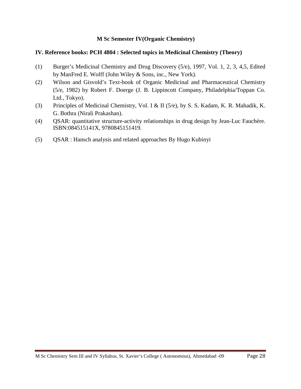#### **IV. Reference books: PCH 4804 : Selected topics in Medicinal Chemistry (Theory)**

- (1) Burger's Medicinal Chemistry and Drug Discovery (5/e), 1997, Vol. 1, 2, 3, 4,5, Edited by ManFred E. Wolff (John Wiley & Sons, inc., New York).
- (2) Wilson and Gisvold's Text-book of Organic Medicinal and Pharmaceutical Chemistry (5/e, 1982) by Robert F. Doerge (J. B. Lippincott Company, Philadelphia/Toppan Co. Ltd., Tokyo).
- (3) Principles of Medicinal Chemistry, Vol. I & II (5/e), by S. S. Kadam, K. R. Mahadik, K. G. Bothra (Nirali Prakashan).
- (4) QSAR: quantitative structure-activity relationships in drug design by Jean-Luc Fauchère. ISBN:084515141X, 9780845151419.
- (5) QSAR : Hansch analysis and related approaches By Hugo Kubinyi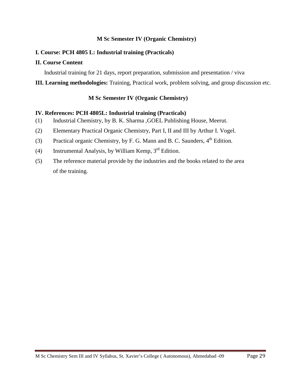#### **I. Course: PCH 4805 L: Industrial training (Practicals)**

#### **II. Course Content**

Industrial training for 21 days, report preparation, submission and presentation / viva

**III. Learning methodologies:** Training, Practical work, problem solving, and group discussion etc.

#### **M Sc Semester IV (Organic Chemistry)**

#### **IV. References: PCH 4805L: Industrial training (Practicals)**

- (1) Industrial Chemistry, by B. K. Sharma ,GOEL Publishing House, Meerut.
- (2) Elementary Practical Organic Chemistry, Part I, II and III by Arthur I. Vogel.
- (3) Practical organic Chemistry, by F. G. Mann and B. C. Saunders,  $4<sup>th</sup>$  Edition.
- (4) Instrumental Analysis, by William Kemp,  $3<sup>rd</sup>$  Edition.
- (5) The reference material provide by the industries and the books related to the area of the training.